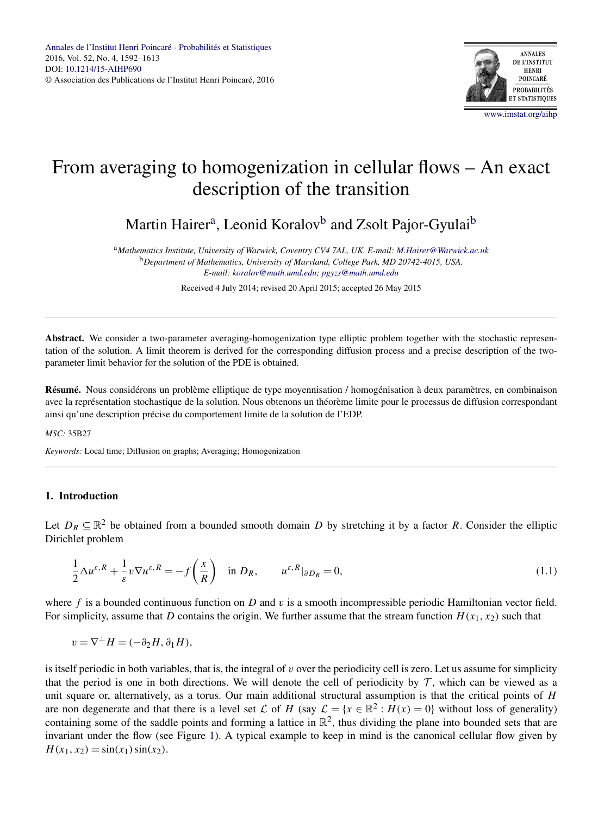

# <span id="page-0-0"></span>From averaging to homogenization in cellular flows – An exact description of the transition

Martin Hairer<sup>a</sup>, Leonid Koralov<sup>b</sup> and Zsolt Pajor-Gyulai<sup>b</sup>

<sup>a</sup>*Mathematics Institute, University of Warwick, Coventry CV4 7AL, UK. E-mail: [M.Hairer@Warwick.ac.uk](mailto:M.Hairer@Warwick.ac.uk)* <sup>b</sup>*Department of Mathematics, University of Maryland, College Park, MD 20742-4015, USA. E-mail: [koralov@math.umd.edu](mailto:koralov@math.umd.edu); [pgyzs@math.umd.edu](mailto:pgyzs@math.umd.edu)*

Received 4 July 2014; revised 20 April 2015; accepted 26 May 2015

Abstract. We consider a two-parameter averaging-homogenization type elliptic problem together with the stochastic representation of the solution. A limit theorem is derived for the corresponding diffusion process and a precise description of the twoparameter limit behavior for the solution of the PDE is obtained.

**Résumé.** Nous considérons un problème elliptique de type moyennisation / homogénisation à deux paramètres, en combinaison avec la représentation stochastique de la solution. Nous obtenons un théorème limite pour le processus de diffusion correspondant ainsi qu'une description précise du comportement limite de la solution de l'EDP.

# *MSC:* 35B27

*Keywords:* Local time; Diffusion on graphs; Averaging; Homogenization

# **1. Introduction**

Let  $D_R \subset \mathbb{R}^2$  be obtained from a bounded smooth domain *D* by stretching it by a factor *R*. Consider the elliptic Dirichlet problem

$$
\frac{1}{2}\Delta u^{\varepsilon,R} + \frac{1}{\varepsilon}v\nabla u^{\varepsilon,R} = -f\left(\frac{x}{R}\right) \quad \text{in } D_R, \qquad u^{\varepsilon,R}|_{\partial D_R} = 0,\tag{1.1}
$$

where *f* is a bounded continuous function on *D* and *v* is a smooth incompressible periodic Hamiltonian vector field. For simplicity, assume that *D* contains the origin. We further assume that the stream function  $H(x_1, x_2)$  such that

$$
v = \nabla^{\perp} H = (-\partial_2 H, \partial_1 H),
$$

is itself periodic in both variables, that is, the integral of *v* over the periodicity cell is zero. Let us assume for simplicity that the period is one in both directions. We will denote the cell of periodicity by  $\mathcal T$ , which can be viewed as a unit square or, alternatively, as a torus. Our main additional structural assumption is that the critical points of *H* are non degenerate and that there is a level set L of H (say  $\mathcal{L} = \{x \in \mathbb{R}^2 : H(x) = 0\}$  without loss of generality) containing some of the saddle points and forming a lattice in  $\mathbb{R}^2$ , thus dividing the plane into bounded sets that are invariant under the flow (see Figure [1\)](#page-1-0). A typical example to keep in mind is the canonical cellular flow given by  $H(x_1, x_2) = \sin(x_1) \sin(x_2)$ .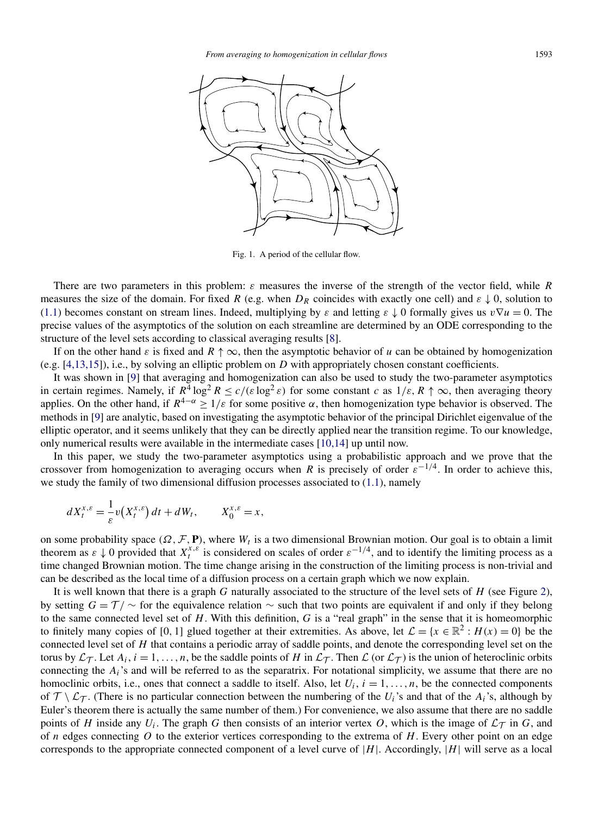<span id="page-1-0"></span>

Fig. 1. A period of the cellular flow.

There are two parameters in this problem: *ε* measures the inverse of the strength of the vector field, while *R* measures the size of the domain. For fixed *R* (e.g. when  $D_R$  coincides with exactly one cell) and  $\varepsilon \downarrow 0$ , solution to [\(1.1\)](#page-0-0) becomes constant on stream lines. Indeed, multiplying by  $\varepsilon$  and letting  $\varepsilon \downarrow 0$  formally gives us  $v \nabla u = 0$ . The precise values of the asymptotics of the solution on each streamline are determined by an ODE corresponding to the structure of the level sets according to classical averaging results [\[8\]](#page-21-0).

If on the other hand  $\varepsilon$  is fixed and  $R \uparrow \infty$ , then the asymptotic behavior of *u* can be obtained by homogenization (e.g. [\[4,13,15\]](#page-20-0)), i.e., by solving an elliptic problem on *D* with appropriately chosen constant coefficients.

It was shown in [\[9\]](#page-21-0) that averaging and homogenization can also be used to study the two-parameter asymptotics in certain regimes. Namely, if  $R^4 \log^2 R \le c/(\varepsilon \log^2 \varepsilon)$  for some constant *c* as  $1/\varepsilon$ ,  $R \uparrow \infty$ , then averaging theory applies. On the other hand, if  $R^{4-\alpha} \ge 1/\varepsilon$  for some positive  $\alpha$ , then homogenization type behavior is observed. The methods in [\[9\]](#page-21-0) are analytic, based on investigating the asymptotic behavior of the principal Dirichlet eigenvalue of the elliptic operator, and it seems unlikely that they can be directly applied near the transition regime. To our knowledge, only numerical results were available in the intermediate cases [\[10,14\]](#page-21-0) up until now.

In this paper, we study the two-parameter asymptotics using a probabilistic approach and we prove that the crossover from homogenization to averaging occurs when *R* is precisely of order  $\varepsilon^{-1/4}$ . In order to achieve this, we study the family of two dimensional diffusion processes associated to [\(1.1\)](#page-0-0), namely

$$
dX_t^{x,\varepsilon} = \frac{1}{\varepsilon} v(X_t^{x,\varepsilon}) dt + dW_t, \qquad X_0^{x,\varepsilon} = x,
$$

on some probability space  $(\Omega, \mathcal{F}, \mathbf{P})$ , where  $W_t$  is a two dimensional Brownian motion. Our goal is to obtain a limit theorem as  $\varepsilon \downarrow 0$  provided that  $X_t^{x,\varepsilon}$  is considered on scales of order  $\varepsilon^{-1/4}$ , and to identify the limiting process as a time changed Brownian motion. The time change arising in the construction of the limiting process is non-trivial and can be described as the local time of a diffusion process on a certain graph which we now explain.

It is well known that there is a graph *G* naturally associated to the structure of the level sets of *H* (see Figure [2\)](#page-2-0), by setting  $G = T / \sim$  for the equivalence relation  $\sim$  such that two points are equivalent if and only if they belong to the same connected level set of *H*. With this definition, *G* is a "real graph" in the sense that it is homeomorphic to finitely many copies of [0, 1] glued together at their extremities. As above, let  $\mathcal{L} = \{x \in \mathbb{R}^2 : H(x) = 0\}$  be the connected level set of *H* that contains a periodic array of saddle points, and denote the corresponding level set on the torus by  $\mathcal{L}_{\mathcal{T}}$ . Let  $A_i$ ,  $i = 1, \ldots, n$ , be the saddle points of *H* in  $\mathcal{L}_{\mathcal{T}}$ . Then  $\mathcal{L}$  (or  $\mathcal{L}_{\mathcal{T}}$ ) is the union of heteroclinic orbits connecting the *Ai*'s and will be referred to as the separatrix. For notational simplicity, we assume that there are no homoclinic orbits, i.e., ones that connect a saddle to itself. Also, let  $U_i$ ,  $i = 1, \ldots, n$ , be the connected components of  $\mathcal{T} \setminus \mathcal{L}_{\mathcal{T}}$ . (There is no particular connection between the numbering of the *U<sub>i</sub>*'s and that of the *A<sub>i</sub>*'s, although by Euler's theorem there is actually the same number of them.) For convenience, we also assume that there are no saddle points of *H* inside any  $U_i$ . The graph *G* then consists of an interior vertex *O*, which is the image of  $\mathcal{L}_{\mathcal{T}}$  in *G*, and of *n* edges connecting *O* to the exterior vertices corresponding to the extrema of *H*. Every other point on an edge corresponds to the appropriate connected component of a level curve of |*H*|. Accordingly, |*H*| will serve as a local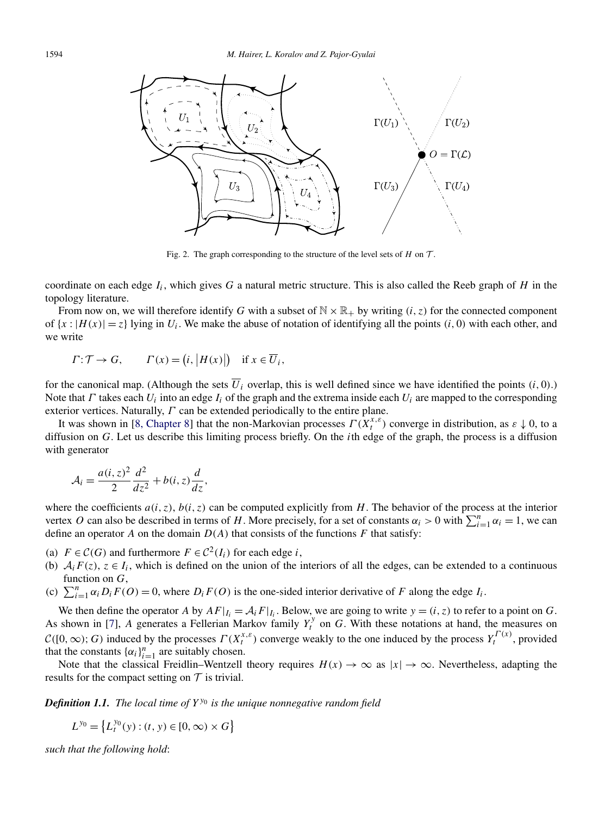<span id="page-2-0"></span>

Fig. 2. The graph corresponding to the structure of the level sets of  $H$  on  $T$ .

coordinate on each edge  $I_i$ , which gives G a natural metric structure. This is also called the Reeb graph of H in the topology literature.

From now on, we will therefore identify G with a subset of  $\mathbb{N} \times \mathbb{R}_+$  by writing  $(i, z)$  for the connected component of  $\{x : |H(x)| = z\}$  lying in  $U_i$ . We make the abuse of notation of identifying all the points  $(i, 0)$  with each other, and we write

$$
\Gamma: \mathcal{T} \to G
$$
,  $\Gamma(x) = (i, |H(x)|)$  if  $x \in \overline{U}_i$ ,

for the canonical map. (Although the sets  $\overline{U}_i$  overlap, this is well defined since we have identified the points  $(i, 0)$ .) Note that *Γ* takes each *Ui* into an edge *Ii* of the graph and the extrema inside each *Ui* are mapped to the corresponding exterior vertices. Naturally, *Γ* can be extended periodically to the entire plane.

It was shown in [\[8, Chapter 8\]](#page-21-0) that the non-Markovian processes  $\Gamma(X_t^{x,\varepsilon})$  converge in distribution, as  $\varepsilon \downarrow 0$ , to a diffusion on *G*. Let us describe this limiting process briefly. On the *i*th edge of the graph, the process is a diffusion with generator

$$
\mathcal{A}_i = \frac{a(i, z)^2}{2} \frac{d^2}{dz^2} + b(i, z) \frac{d}{dz},
$$

where the coefficients  $a(i, z)$ ,  $b(i, z)$  can be computed explicitly from *H*. The behavior of the process at the interior vertex *O* can also be described in terms of *H*. More precisely, for a set of constants  $\alpha_i > 0$  with  $\sum_{i=1}^{n} \alpha_i = 1$ , we can define an operator *A* on the domain  $D(A)$  that consists of the functions *F* that satisfy:

- (a)  $F \in \mathcal{C}(G)$  and furthermore  $F \in \mathcal{C}^2(I_i)$  for each edge *i*,
- (b)  $A_i F(z)$ ,  $z \in I_i$ , which is defined on the union of the interiors of all the edges, can be extended to a continuous function on *G*,
- (c)  $\sum_{i=1}^{n} \alpha_i D_i F(O) = 0$ , where  $D_i F(O)$  is the one-sided interior derivative of *F* along the edge  $I_i$ .

We then define the operator *A* by  $AF|_{I_i} = A_iF|_{I_i}$ . Below, we are going to write  $y = (i, z)$  to refer to a point on *G*. As shown in [\[7\]](#page-21-0), A generates a Fellerian Markov family  $Y_t^y$  on  $G$ . With these notations at hand, the measures on  $C([0,\infty); G)$  induced by the processes  $\Gamma(X_t^{x,\varepsilon})$  converge weakly to the one induced by the process  $Y_t^{\Gamma(x)}$ , provided that the constants  $\{\alpha_i\}_{i=1}^n$  are suitably chosen.

Note that the classical Freidlin–Wentzell theory requires  $H(x) \to \infty$  as  $|x| \to \infty$ . Nevertheless, adapting the results for the compact setting on  $T$  is trivial.

*Definition 1.1. The local time of Yy*<sup>0</sup> *is the unique nonnegative random field*

$$
L^{y_0} = \left\{ L_t^{y_0}(y) : (t, y) \in [0, \infty) \times G \right\}
$$

*such that the following hold*: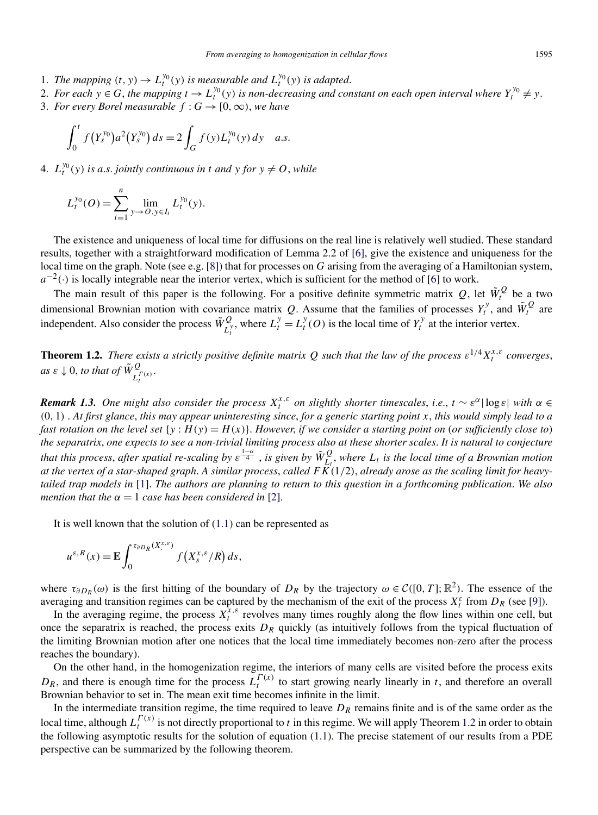- <span id="page-3-0"></span>1. *The mapping*  $(t, y) \to L_t^{y_0}(y)$  *is measurable and*  $L_t^{y_0}(y)$  *is adapted.*
- 2. For each  $y \in G$ , the mapping  $t \to L_t^{y_0}(y)$  is non-decreasing and constant on each open interval where  $Y_t^{y_0} \neq y$ .
- 3. *For every Borel measurable*  $f : G \rightarrow [0, \infty)$ *, we have*

$$
\int_0^t f(Y_s^{y_0}) a^2(Y_s^{y_0}) ds = 2 \int_G f(y) L_t^{y_0}(y) dy \quad a.s.
$$

4.  $L_t^{y_0}(y)$  *is a.s. jointly continuous in t and y for*  $y \neq 0$ , *while* 

$$
L_t^{y_0}(O) = \sum_{i=1}^n \lim_{y \to O, y \in I_i} L_t^{y_0}(y).
$$

The existence and uniqueness of local time for diffusions on the real line is relatively well studied. These standard results, together with a straightforward modification of Lemma 2.2 of [\[6\]](#page-21-0), give the existence and uniqueness for the local time on the graph. Note (see e.g. [\[8\]](#page-21-0)) that for processes on *G* arising from the averaging of a Hamiltonian system,  $a^{-2}$ (·) is locally integrable near the interior vertex, which is sufficient for the method of [\[6\]](#page-21-0) to work.

The main result of this paper is the following. For a positive definite symmetric matrix  $Q$ , let  $\tilde{W}^Q_t$  be a two dimensional Brownian motion with covariance matrix *Q*. Assume that the families of processes  $Y_t^y$ , and  $\tilde{W}_t^Q$  are independent. Also consider the process  $\tilde{W}_{L_t^y}^Q$ , where  $L_t^y = L_t^y(O)$  is the local time of  $Y_t^y$  at the interior vertex.

**Theorem 1.2.** *There exists a strictly positive definite matrix Q such that the law of the process*  $\varepsilon^{1/4}X_t^{x,\varepsilon}$  *converges*,  $as \varepsilon \downarrow 0$ , *to that of*  $\tilde{W}^Q_{L_t^{(\mathcal{X})}}$ .

*Remark 1.3. One might also consider the process*  $X_t^{x,\varepsilon}$  *on slightly shorter timescales, i.e.,*  $t \sim \varepsilon^{\alpha} |\log \varepsilon|$  *with*  $\alpha \in$ *(*0*,* 1*)* . *At first glance*, *this may appear uninteresting since*, *for a generic starting point x*, *this would simply lead to a fast rotation on the level set*  $\{y : H(y) = H(x)\}$ . *However, if we consider a starting point on* (*or sufficiently close to*) *the separatrix*, *one expects to see a non-trivial limiting process also at these shorter scales*. *It is natural to conjecture that this process, after spatial re-scaling by*  $\varepsilon^{\frac{1-\alpha}{4}}$  *, is given by*  $\tilde{W}_{L_t}^Q$ *, where*  $L_t$  *is the local time of a Brownian motion at the vertex of a star-shaped graph*. *A similar process*, *called FK(*1*/*2*)*, *already arose as the scaling limit for heavytailed trap models in* [\[1\]](#page-20-0). *The authors are planning to return to this question in a forthcoming publication*. *We also mention that the*  $\alpha = 1$  *case has been considered in* [\[2\]](#page-20-0).

It is well known that the solution of [\(1.1\)](#page-0-0) can be represented as

$$
u^{\varepsilon,R}(x) = \mathbf{E} \int_0^{\tau_{\partial D_R}(X^{x,\varepsilon})} f(X^{x,\varepsilon}_s/R) ds,
$$

where  $\tau_{\partial D_R}(\omega)$  is the first hitting of the boundary of  $D_R$  by the trajectory  $\omega \in C([0, T]; \mathbb{R}^2)$ . The essence of the averaging and transition regimes can be captured by the mechanism of the exit of the process  $X_t^{\varepsilon}$  from  $D_R$  (see [\[9\]](#page-21-0)).

In the averaging regime, the process  $X_t^{\hat{x}, \varepsilon}$  revolves many times roughly along the flow lines within one cell, but once the separatrix is reached, the process exits  $D_R$  quickly (as intuitively follows from the typical fluctuation of the limiting Brownian motion after one notices that the local time immediately becomes non-zero after the process reaches the boundary).

On the other hand, in the homogenization regime, the interiors of many cells are visited before the process exits  $D_R$ , and there is enough time for the process  $L_I^{(\alpha)}$  to start growing nearly linearly in *t*, and therefore an overall Brownian behavior to set in. The mean exit time becomes infinite in the limit.

In the intermediate transition regime, the time required to leave  $D_R$  remains finite and is of the same order as the local time, although  $L_t^{T(x)}$  is not directly proportional to *t* in this regime. We will apply Theorem 1.2 in order to obtain the following asymptotic results for the solution of equation [\(1.1\)](#page-0-0). The precise statement of our results from a PDE perspective can be summarized by the following theorem.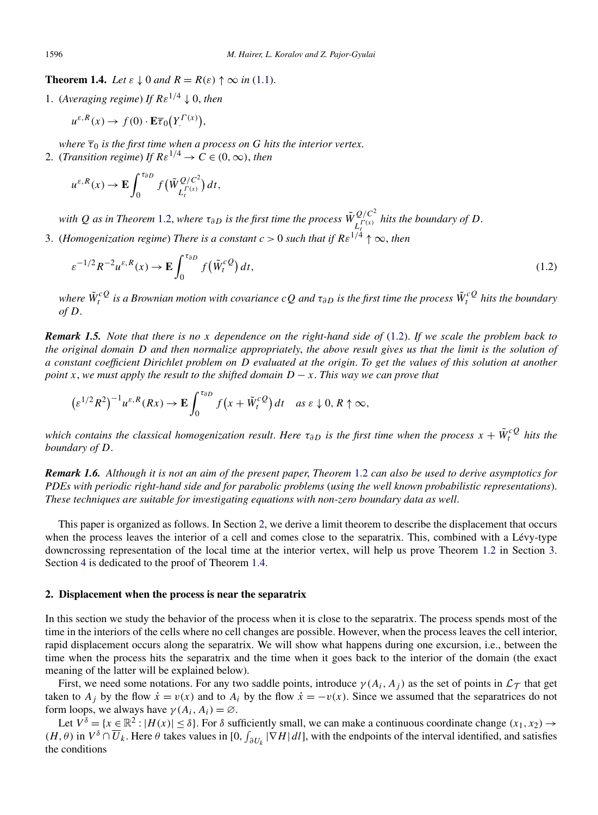**Theorem 1.4.** *Let*  $\varepsilon \downarrow 0$  *and*  $R = R(\varepsilon) \uparrow \infty$  *in* [\(1.1\)](#page-0-0).

1. (*Averaging regime*) *If*  $Re^{1/4} \downarrow 0$ , *then* 

$$
u^{\varepsilon,R}(x) \to f(0) \cdot \mathbf{E} \overline{\tau}_0(Y^{(\Gamma)}),
$$

*where*  $\overline{\tau}_0$  *is the first time when a process on G hits the interior vertex.* 

2. (*Transition regime*) *If*  $Re^{1/4} \rightarrow C \in (0, \infty)$ , *then* 

$$
u^{\varepsilon,R}(x)\to \mathbf{E}\int_0^{\tau_{\partial D}}f\big(\tilde{W}_{L_t^{\Gamma(x)}}^{Q/C^2}\big)dt,
$$

*with*  $Q$  *as in Theorem* [1.2,](#page-3-0) *where*  $\tau_{\partial D}$  *is the first time the process*  $\tilde{W}_{L_t^{(\Gamma(x))}}^{Q/C^2}$  *hits the boundary of*  $D$ .

*t* 3. (*Homogenization regime*) *There is a constant c >* 0 *such that if Rε*1*/*<sup>4</sup> ↑ ∞, *then*

$$
\varepsilon^{-1/2} R^{-2} u^{\varepsilon,R}(x) \to \mathbf{E} \int_0^{\tau_{\partial D}} f(\tilde{W}_t^{cQ}) dt,
$$
\n(1.2)

*where W*˜ *cQ <sup>t</sup> is a Brownian motion with covariance cQ and τ∂D is the first time the process <sup>W</sup>*˜ *cQ <sup>t</sup> hits the boundary of D*.

*Remark 1.5. Note that there is no x dependence on the right-hand side of* (1.2). *If we scale the problem back to the original domain D and then normalize appropriately*, *the above result gives us that the limit is the solution of a constant coefficient Dirichlet problem on D evaluated at the origin*. *To get the values of this solution at another point x*, *we must apply the result to the shifted domain*  $D - x$ . *This way we can prove that* 

$$
\left(\varepsilon^{1/2}R^2\right)^{-1}u^{\varepsilon,R}(Rx)\to \mathbf{E}\int_0^{\tau_{\partial D}}f\left(x+\tilde{W}_t^{cQ}\right)dt \quad \text{as } \varepsilon\downarrow 0,\, R\uparrow\infty,
$$

*which contains the classical homogenization result. Here*  $\tau_{\partial D}$  *is the first time when the process*  $x + \tilde{W}^c_t{}^Q$  *hits the boundary of D*.

*Remark 1.6. Although it is not an aim of the present paper*, *Theorem* [1.2](#page-3-0) *can also be used to derive asymptotics for PDEs with periodic right-hand side and for parabolic problems* (*using the well known probabilistic representations*). *These techniques are suitable for investigating equations with non-zero boundary data as well*.

This paper is organized as follows. In Section 2, we derive a limit theorem to describe the displacement that occurs when the process leaves the interior of a cell and comes close to the separatrix. This, combined with a Lévy-type downcrossing representation of the local time at the interior vertex, will help us prove Theorem [1.2](#page-3-0) in Section [3.](#page-14-0) Section [4](#page-19-0) is dedicated to the proof of Theorem 1.4.

#### **2. Displacement when the process is near the separatrix**

In this section we study the behavior of the process when it is close to the separatrix. The process spends most of the time in the interiors of the cells where no cell changes are possible. However, when the process leaves the cell interior, rapid displacement occurs along the separatrix. We will show what happens during one excursion, i.e., between the time when the process hits the separatrix and the time when it goes back to the interior of the domain (the exact meaning of the latter will be explained below).

First, we need some notations. For any two saddle points, introduce  $\gamma(A_i, A_j)$  as the set of points in  $\mathcal{L}_{\mathcal{T}}$  that get taken to  $A_j$  by the flow  $\dot{x} = v(x)$  and to  $A_i$  by the flow  $\dot{x} = -v(x)$ . Since we assumed that the separatrices do not form loops, we always have  $\gamma(A_i, A_i) = \emptyset$ .

Let  $V^{\delta} = \{x \in \mathbb{R}^2 : |H(x)| \le \delta\}$ . For  $\delta$  sufficiently small, we can make a continuous coordinate change  $(x_1, x_2) \to$  $(H, \theta)$  in  $V^{\delta} \cap \overline{U}_k$ . Here  $\theta$  takes values in [0,  $\int_{\partial U_k} |\nabla H| dI$ ], with the endpoints of the interval identified, and satisfies the conditions

<span id="page-4-0"></span>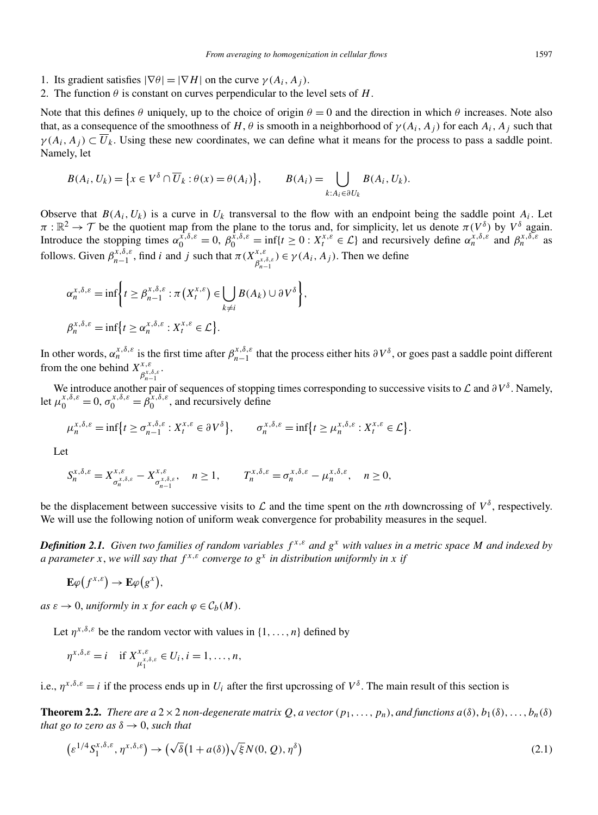- <span id="page-5-0"></span>1. Its gradient satisfies  $|\nabla \theta| = |\nabla H|$  on the curve  $\gamma(A_i, A_j)$ .
- 2. The function  $\theta$  is constant on curves perpendicular to the level sets of *H*.

Note that this defines  $\theta$  uniquely, up to the choice of origin  $\theta = 0$  and the direction in which  $\theta$  increases. Note also that, as a consequence of the smoothness of *H*,  $\theta$  is smooth in a neighborhood of  $\gamma(A_i, A_j)$  for each  $A_i, A_j$  such that  $\gamma(A_i, A_j) \subset \overline{U}_k$ . Using these new coordinates, we can define what it means for the process to pass a saddle point. Namely, let

$$
B(A_i, U_k) = \left\{ x \in V^{\delta} \cap \overline{U}_k : \theta(x) = \theta(A_i) \right\}, \qquad B(A_i) = \bigcup_{k: A_i \in \partial U_k} B(A_i, U_k).
$$

Observe that  $B(A_i, U_k)$  is a curve in  $U_k$  transversal to the flow with an endpoint being the saddle point  $A_i$ . Let  $\pi : \mathbb{R}^2 \to \mathcal{T}$  be the quotient map from the plane to the torus and, for simplicity, let us denote  $\pi(V^{\delta})$  by  $V^{\delta}$  again. Introduce the stopping times  $\alpha_0^{\tilde{x},\delta,\varepsilon} = 0$ ,  $\beta_0^{\tilde{x},\delta,\varepsilon} = \inf\{t \ge 0 : X_t^{x,\varepsilon} \in \mathcal{L}\}\$ and recursively define  $\alpha_n^{\tilde{x},\delta,\varepsilon}$  and  $\beta_n^{\tilde{x},\delta,\varepsilon}$  as follows. Given  $\beta_{n-1}^{x,\delta,\varepsilon}$ , find *i* and *j* such that  $\pi(X_{\beta_{n-1}^{x,\delta,\varepsilon}}^{x,\varepsilon}) \in \gamma(A_i, A_j)$ . Then we define

$$
\alpha_n^{x,\delta,\varepsilon} = \inf \bigg\{ t \ge \beta_{n-1}^{x,\delta,\varepsilon} : \pi(X_t^{x,\varepsilon}) \in \bigcup_{k \ne i} B(A_k) \cup \partial V^{\delta} \bigg\},
$$
  

$$
\beta_n^{x,\delta,\varepsilon} = \inf \big\{ t \ge \alpha_n^{x,\delta,\varepsilon} : X_t^{x,\varepsilon} \in \mathcal{L} \big\}.
$$

In other words,  $\alpha_n^{x,\delta,\varepsilon}$  is the first time after  $\beta_{n-1}^{x,\delta,\varepsilon}$  that the process either hits  $\partial V^{\delta}$ , or goes past a saddle point different from the one behind  $X^{x,\varepsilon}_{\beta^{x,\delta,\varepsilon}_{n-1}}$ .

We introduce another pair of sequences of stopping times corresponding to successive visits to *L* and *∂V*<sup>δ</sup>. Namely, let  $\mu_0^{x, \delta, \varepsilon} = 0$ ,  $\sigma_0^{x, \delta, \varepsilon} = \beta_0^{x, \delta, \varepsilon}$ , and recursively define

$$
\mu_n^{x,\delta,\varepsilon} = \inf \{ t \ge \sigma_{n-1}^{x,\delta,\varepsilon} : X_t^{x,\varepsilon} \in \partial V^\delta \}, \qquad \sigma_n^{x,\delta,\varepsilon} = \inf \{ t \ge \mu_n^{x,\delta,\varepsilon} : X_t^{x,\varepsilon} \in \mathcal{L} \}.
$$

Let

$$
S_n^{x,\delta,\varepsilon} = X_{\sigma_n^{x,\delta,\varepsilon}}^{x,\varepsilon} - X_{\sigma_{n-1}^{x,\delta,\varepsilon}}^{x,\varepsilon}, \quad n \ge 1, \qquad T_n^{x,\delta,\varepsilon} = \sigma_n^{x,\delta,\varepsilon} - \mu_n^{x,\delta,\varepsilon}, \quad n \ge 0,
$$

be the displacement between successive visits to  $\mathcal L$  and the time spent on the *n*th downcrossing of  $V^{\delta}$ , respectively. We will use the following notion of uniform weak convergence for probability measures in the sequel.

*Definition 2.1. Given two families of random variables f x,ε and g<sup>x</sup> with values in a metric space M and indexed by a parameter x*, *we will say that*  $f^{x,\varepsilon}$  *converge to*  $g^x$  *in distribution uniformly in x if* 

$$
\mathbf{E}\varphi(f^{x,\varepsilon})\to\mathbf{E}\varphi(g^x),
$$

*as*  $\varepsilon \to 0$ , *uniformly in x for each*  $\varphi \in C_b(M)$ .

Let  $\eta^{x,\delta,\varepsilon}$  be the random vector with values in  $\{1,\ldots,n\}$  defined by

$$
\eta^{x,\delta,\varepsilon}=i \quad \text{if } X^{x,\varepsilon}_{\mu_1^{x,\delta,\varepsilon}}\in U_i, i=1,\ldots,n,
$$

i.e.,  $\eta^{x,\delta,\varepsilon} = i$  if the process ends up in  $U_i$  after the first upcrossing of  $V^{\delta}$ . The main result of this section is

**Theorem 2.2.** *There are a* 2  $\times$  2 *non-degenerate matrix Q*, *a* vector  $(p_1, \ldots, p_n)$ , *and functions*  $a(\delta), b_1(\delta), \ldots, b_n(\delta)$ *that go to zero as*  $\delta \rightarrow 0$ *, such that* 

$$
\left(\varepsilon^{1/4} S_1^{x,\delta,\varepsilon}, \eta^{x,\delta,\varepsilon}\right) \to \left(\sqrt{\delta}\left(1 + a(\delta)\right) \sqrt{\xi} N(0, Q), \eta^{\delta}\right)
$$
\n(2.1)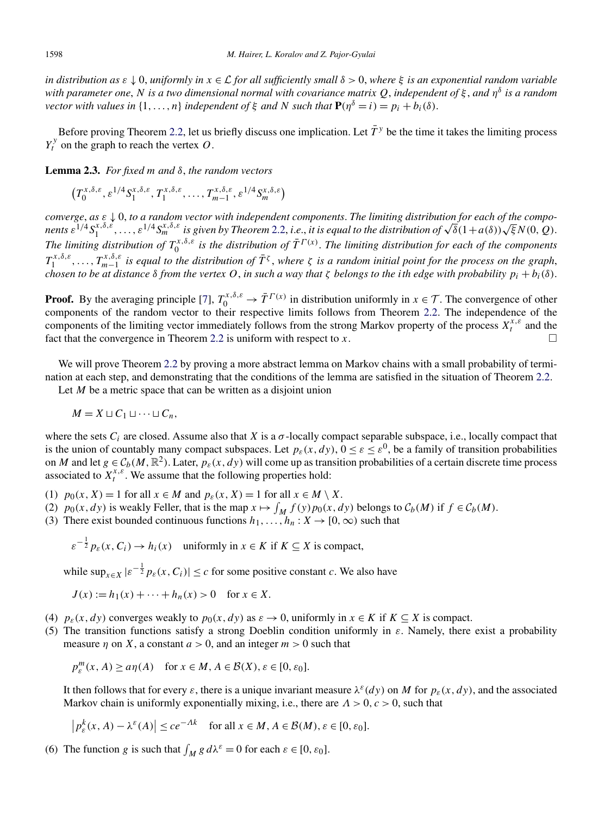<span id="page-6-0"></span>*in distribution as ε* ↓ 0, *uniformly in x* ∈ L *for all sufficiently small δ >* 0, *where ξ is an exponential random variable with parameter one*, *N is a two dimensional normal with covariance matrix Q*, *independent of ξ* , *and η<sup>δ</sup> is a random vector with values in*  $\{1,\ldots,n\}$  *independent of*  $\xi$  *and*  $N$  *such that*  $P(n^{\delta} = i) = p_i + b_i(\delta)$ .

Before proving Theorem [2.2,](#page-5-0) let us briefly discuss one implication. Let  $\bar{T}^y$  be the time it takes the limiting process  $Y_t^y$  on the graph to reach the vertex *O*.

**Lemma 2.3.** *For fixed m and δ*, *the random vectors*

$$
\left(T_0^{x,\delta,\varepsilon},\varepsilon^{1/4}S_1^{x,\delta,\varepsilon},T_1^{x,\delta,\varepsilon},\ldots,T_{m-1}^{x,\delta,\varepsilon},\varepsilon^{1/4}S_m^{x,\delta,\varepsilon}\right)
$$

*converge*, *as ε* ↓ 0, *to a random vector with independent components*. *The limiting distribution for each of the compo*converge, as  $\varepsilon \downarrow$  0, to a random vector with independent components. The limiting distribution for each of the compo-<br>nents  $\varepsilon^{1/4}S_1^{x,\delta,\varepsilon},\ldots,\varepsilon^{1/4}S_m^{x,\delta,\varepsilon}$  is given by Theorem [2.2,](#page-5-0) i.e., it is equal to t *The limiting distribution of*  $T_0^{x,\delta,\varepsilon}$  *is the distribution of*  $\bar{T}^{F(x)}$ . *The limiting distribution for each of the components*  $T_1^{x,\delta,\varepsilon}, \ldots, T_{m-1}^{x,\delta,\varepsilon}$  *is equal to the distribution of*  $\bar{T}^\zeta$ , *where*  $\zeta$  *is a random initial point for the process on the graph*, *chosen to be at distance δ from the vertex O*, *in such a way that ζ belongs to the ith edge with probability pi* + *bi(δ)*.

**Proof.** By the averaging principle [\[7\]](#page-21-0),  $T_0^{x,\delta,\varepsilon} \to \overline{T}^{\Gamma(x)}$  in distribution uniformly in  $x \in \mathcal{T}$ . The convergence of other components of the random vector to their respective limits follows from Theorem [2.2.](#page-5-0) The independence of the components of the limiting vector immediately follows from the strong Markov property of the process  $X_t^{x,\varepsilon}$  and the fact that the convergence in Theorem [2.2](#page-5-0) is uniform with respect to *x*. -

We will prove Theorem [2.2](#page-5-0) by proving a more abstract lemma on Markov chains with a small probability of termination at each step, and demonstrating that the conditions of the lemma are satisfied in the situation of Theorem [2.2.](#page-5-0)

Let *M* be a metric space that can be written as a disjoint union

$$
M=X\sqcup C_1\sqcup\cdots\sqcup C_n,
$$

where the sets  $C_i$  are closed. Assume also that *X* is a  $\sigma$ -locally compact separable subspace, i.e., locally compact that is the union of countably many compact subspaces. Let  $p_{\varepsilon}(x,dy)$ ,  $0 \leq \varepsilon \leq \varepsilon^0$ , be a family of transition probabilities on *M* and let  $g \in C_b(M, \mathbb{R}^2)$ . Later,  $p_g(x, dy)$  will come up as transition probabilities of a certain discrete time process associated to  $X_t^{x,\varepsilon}$ . We assume that the following properties hold:

- (1)  $p_0(x, X) = 1$  for all  $x \in M$  and  $p_{\varepsilon}(x, X) = 1$  for all  $x \in M \setminus X$ .
- (2)  $p_0(x, dy)$  is weakly Feller, that is the map  $x \mapsto \int_M f(y) p_0(x, dy)$  belongs to  $C_b(M)$  if  $f \in C_b(M)$ .
- (3) There exist bounded continuous functions  $h_1, \ldots, h_n : X \to [0, \infty)$  such that

 $\varepsilon^{-\frac{1}{2}} p_{\varepsilon}(x, C_i) \to h_i(x)$  uniformly in  $x \in K$  if  $K \subseteq X$  is compact,

while  $\sup_{x \in X} |\varepsilon^{-\frac{1}{2}} p_{\varepsilon}(x, C_i)| \leq c$  for some positive constant *c*. We also have

$$
J(x) := h_1(x) + \dots + h_n(x) > 0 \text{ for } x \in X.
$$

(4)  $p_{\varepsilon}(x,dy)$  converges weakly to  $p_0(x,dy)$  as  $\varepsilon \to 0$ , uniformly in  $x \in K$  if  $K \subseteq X$  is compact.

(5) The transition functions satisfy a strong Doeblin condition uniformly in *ε*. Namely, there exist a probability measure  $\eta$  on X, a constant  $a > 0$ , and an integer  $m > 0$  such that

$$
p_{\varepsilon}^{m}(x, A) \ge a\eta(A) \quad \text{for } x \in M, A \in \mathcal{B}(X), \varepsilon \in [0, \varepsilon_{0}].
$$

It then follows that for every  $\varepsilon$ , there is a unique invariant measure  $\lambda^{\varepsilon}(dy)$  on M for  $p_{\varepsilon}(x,dy)$ , and the associated Markov chain is uniformly exponentially mixing, i.e., there are *Λ >* 0*,c>* 0, such that

$$
\left| p_{\varepsilon}^{k}(x, A) - \lambda^{\varepsilon}(A) \right| \le c e^{-Ak} \quad \text{for all } x \in M, A \in \mathcal{B}(M), \varepsilon \in [0, \varepsilon_{0}].
$$

(6) The function *g* is such that  $\int_M g \, d\lambda^{\varepsilon} = 0$  for each  $\varepsilon \in [0, \varepsilon_0]$ .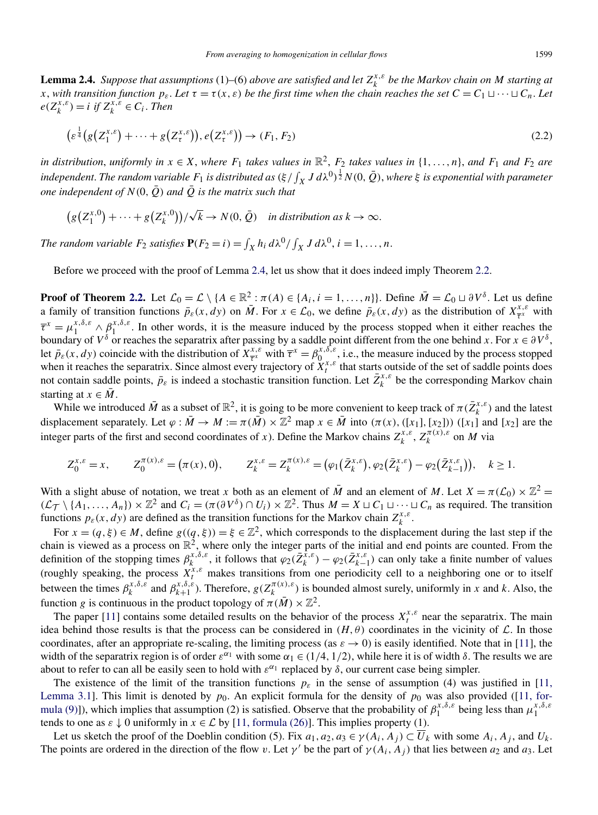<span id="page-7-0"></span>**Lemma 2.4.** *Suppose that assumptions* (1)–(6) *above are satisfied and let*  $Z_k^{x,\varepsilon}$  *be the Markov chain on M starting at x*, with transition function  $p_{\varepsilon}$ . Let  $\tau = \tau(x, \varepsilon)$  be the first time when the chain reaches the set  $C = C_1 \sqcup \cdots \sqcup C_n$ . Let  $e(Z_k^{x,\varepsilon}) = i$  *if*  $Z_k^{x,\varepsilon} \in C_i$ . *Then* 

$$
\left(\varepsilon^{\frac{1}{4}}(g\left(Z_1^{x,\varepsilon}\right)+\dots+g\left(Z_{\tau}^{x,\varepsilon}\right)),e\left(Z_{\tau}^{x,\varepsilon}\right)\right)\to(F_1,F_2)\tag{2.2}
$$

*in distribution, uniformly in*  $x \in X$ *, where*  $F_1$  *takes values in*  $\mathbb{R}^2$ *,*  $F_2$  *takes values in*  $\{1, \ldots, n\}$ *, and*  $F_1$  *and*  $F_2$  *are* independent. The random variable  $F_1$  is distributed as  $(\xi/f_X J d\lambda^0)^{\frac{1}{2}} N(0,\bar{Q})$ , where  $\xi$  is exponential with parameter *one independent of*  $N(0,\overline{Q})$  *and*  $\overline{Q}$  *is the matrix such that* 

$$
(g(Z_1^{x,0}) + \cdots + g(Z_k^{x,0})) / \sqrt{k} \to N(0, \overline{Q}) \quad \text{in distribution as } k \to \infty.
$$

*The random variable*  $F_2$  *satisfies*  $P(F_2 = i) = \int_X h_i d\lambda^0 / \int_X J d\lambda^0$ ,  $i = 1, ..., n$ .

Before we proceed with the proof of Lemma 2.4, let us show that it does indeed imply Theorem [2.2.](#page-5-0)

**Proof of Theorem [2.2.](#page-5-0)** Let  $\mathcal{L}_0 = \mathcal{L} \setminus \{A \in \mathbb{R}^2 : \pi(A) \in \{A_i, i = 1, ..., n\}\}$ . Define  $\overline{M} = \mathcal{L}_0 \sqcup \partial V^{\delta}$ . Let us define a family of transition functions  $\bar{p}_{\varepsilon}(x,dy)$  on  $\bar{M}$ . For  $x \in \mathcal{L}_0$ , we define  $\bar{p}_{\varepsilon}(x,dy)$  as the distribution of  $X^{x,\varepsilon}_{\bar{x}^x}$  with  $\bar{\tau}^x = \mu_1^{x,\delta,\varepsilon} \wedge \beta_1^{x,\delta,\varepsilon}$ . In other words, it is the measure induced by the process stopped when it either reaches the boundary of  $V^{\delta}$  or reaches the separatrix after passing by a saddle point different from the one behind *x*. For  $x \in \partial V^{\delta}$ , let  $\bar{p}_{\varepsilon}(x,dy)$  coincide with the distribution of  $\bar{X}_{\bar{\tau}^x}^{x,\varepsilon}$  with  $\bar{\tau}^x = \beta_0^{x,\delta,\varepsilon}$ , i.e., the measure induced by the process stopped when it reaches the separatrix. Since almost every trajectory of  $X_t^{x,\varepsilon}$  that starts outside of the set of saddle points does not contain saddle points,  $\bar{p}_{\varepsilon}$  is indeed a stochastic transition function. Let  $\bar{Z}_{k}^{x,\varepsilon}$  be the corresponding Markov chain starting at  $x \in M$ .

While we introduced  $\bar{M}$  as a subset of  $\mathbb{R}^2$ , it is going to be more convenient to keep track of  $\pi(\bar{Z}_k^{x,\varepsilon})$  and the latest displacement separately. Let  $\varphi : \overline{M} \to M := \pi(\overline{M}) \times \mathbb{Z}^2$  map  $x \in \overline{M}$  into  $(\pi(x),([x_1],[x_2]))$  ([x<sub>1</sub>] and [x<sub>2</sub>] are the integer parts of the first and second coordinates of *x*). Define the Markov chains  $Z_k^{x,\varepsilon}$ ,  $Z_k^{\pi(x),\varepsilon}$  on *M* via

$$
Z_0^{x,\varepsilon} = x, \qquad Z_0^{\pi(x),\varepsilon} = (\pi(x),0), \qquad Z_k^{x,\varepsilon} = Z_k^{\pi(x),\varepsilon} = (\varphi_1(\bar{Z}_k^{x,\varepsilon}), \varphi_2(\bar{Z}_k^{x,\varepsilon}) - \varphi_2(\bar{Z}_{k-1}^{x,\varepsilon})), \quad k \ge 1.
$$

With a slight abuse of notation, we treat *x* both as an element of  $\overline{M}$  and an element of  $M$ . Let  $X = \pi(\mathcal{L}_0) \times \mathbb{Z}^2$  $(\mathcal{L}_{\mathcal{T}} \setminus \{A_1, \ldots, A_n\}) \times \mathbb{Z}^2$  and  $C_i = (\pi(\partial V^{\delta}) \cap U_i) \times \mathbb{Z}^2$ . Thus  $M = X \sqcup C_1 \sqcup \cdots \sqcup C_n$  as required. The transition functions  $p_{\varepsilon}(x, dy)$  are defined as the transition functions for the Markov chain  $Z_k^{x, \varepsilon}$ .

For  $x = (q, \xi) \in M$ , define  $g((q, \xi)) = \xi \in \mathbb{Z}^2$ , which corresponds to the displacement during the last step if the chain is viewed as a process on  $\mathbb{R}^2$ , where only the integer parts of the initial and end points are counted. From the definition of the stopping times  $\beta_k^{x, \delta, \varepsilon}$ , it follows that  $\varphi_2(\bar{Z}_k^{\tilde{x}, \varepsilon}) - \varphi_2(\bar{Z}_{k-1}^{x, \varepsilon})$  can only take a finite number of values (roughly speaking, the process  $X_t^{x,\varepsilon}$  makes transitions from one periodicity cell to a neighboring one or to itself between the times  $\beta_k^{x, \delta, \varepsilon}$  and  $\beta_{k+1}^{x, \delta, \varepsilon}$ ). Therefore,  $g(Z_k^{\pi(x), \varepsilon})$  is bounded almost surely, uniformly in *x* and *k*. Also, the function *g* is continuous in the product topology of  $\pi(\bar{M}) \times \mathbb{Z}^2$ .

The paper [\[11\]](#page-21-0) contains some detailed results on the behavior of the process  $X_t^{x,\varepsilon}$  near the separatrix. The main idea behind those results is that the process can be considered in  $(H, \theta)$  coordinates in the vicinity of  $\mathcal{L}$ . In those coordinates, after an appropriate re-scaling, the limiting process (as  $\varepsilon \to 0$ ) is easily identified. Note that in [\[11\]](#page-21-0), the width of the separatrix region is of order  $\varepsilon^{\alpha_1}$  with some  $\alpha_1 \in (1/4, 1/2)$ , while here it is of width  $\delta$ . The results we are about to refer to can all be easily seen to hold with  $\varepsilon^{\alpha_1}$  replaced by  $\delta$ , our current case being simpler.

The existence of the limit of the transition functions  $p_{\varepsilon}$  in the sense of assumption (4) was justified in [\[11,](#page-21-0) [Lemma 3.1\]](#page-21-0). This limit is denoted by  $p_0$ . An explicit formula for the density of  $p_0$  was also provided ([\[11, for](#page-21-0)[mula \(9\)\]](#page-21-0)), which implies that assumption (2) is satisfied. Observe that the probability of  $\beta_1^{x,\delta,\varepsilon}$  being less than  $\mu_1^{x,\delta,\varepsilon}$ tends to one as  $\varepsilon \downarrow 0$  uniformly in  $x \in \mathcal{L}$  by [\[11, formula \(26\)\]](#page-21-0). This implies property (1).

Let us sketch the proof of the Doeblin condition (5). Fix  $a_1, a_2, a_3 \in \gamma(A_i, A_j) \subset \overline{U}_k$  with some  $A_i, A_j$ , and  $U_k$ . The points are ordered in the direction of the flow *v*. Let  $\gamma'$  be the part of  $\gamma(A_i, A_j)$  that lies between  $a_2$  and  $a_3$ . Let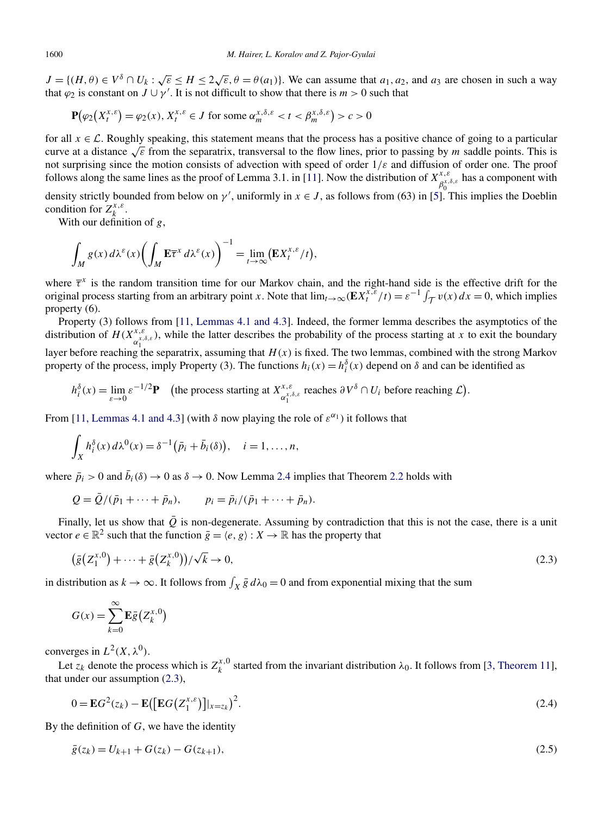<span id="page-8-0"></span> $J = \{(H, \theta) \in V^{\delta} \cap U_k : \sqrt{\varepsilon} \le H \le 2\sqrt{\varepsilon}, \theta = \theta(a_1)\}\.$  We can assume that  $a_1, a_2$ , and  $a_3$  are chosen in such a way that  $\varphi_2$  is constant on  $J \cup \gamma'$ . It is not difficult to show that there is  $m > 0$  such that

$$
\mathbf{P}(\varphi_2\big(X_t^{x,\varepsilon}\big) = \varphi_2(x), X_t^{x,\varepsilon} \in J \text{ for some } \alpha_m^{x,\delta,\varepsilon} < t < \beta_m^{x,\delta,\varepsilon} > c > 0
$$

for all  $x \in \mathcal{L}$ . Roughly speaking, this statement means that the process has a positive chance of going to a particular curve at a distance  $\sqrt{\epsilon}$  from the separatrix, transversal to the flow lines, prior to passing by *m* saddle points. This is not surprising since the motion consists of advection with speed of order 1*/ε* and diffusion of order one. The proof follows along the same lines as the proof of Lemma 3.1. in [\[11\]](#page-21-0). Now the distribution of  $X^{x,\varepsilon}_{\beta_0^{x,\delta,\varepsilon}}$  has a component with

density strictly bounded from below on *γ'*, uniformly in  $x \in J$ , as follows from (63) in [\[5\]](#page-21-0). This implies the Doeblin condition for  $Z_k^{x,\varepsilon}$ .

With our definition of *g*,

$$
\int_M g(x) d\lambda^{\varepsilon}(x) \left( \int_M \mathbf{E} \overline{\tau}^x d\lambda^{\varepsilon}(x) \right)^{-1} = \lim_{t \to \infty} (\mathbf{E} X_t^{x,\varepsilon}/t),
$$

where  $\bar{\tau}^x$  is the random transition time for our Markov chain, and the right-hand side is the effective drift for the original process starting from an arbitrary point *x*. Note that  $\lim_{t\to\infty} (\mathbf{E} X_t^{x,\varepsilon}/t) = \varepsilon^{-1} \int_{\mathcal{T}} v(x) dx = 0$ , which implies property (6).

Property (3) follows from [\[11, Lemmas 4.1 and 4.3\]](#page-21-0). Indeed, the former lemma describes the asymptotics of the distribution of  $H(X_{\alpha_1^{x,\delta,\varepsilon}}^{x,\delta})$ , while the latter describes the probability of the process starting at *x* to exit the boundary layer before reaching the separatrix, assuming that  $H(x)$  is fixed. The two lemmas, combined with the strong Markov property of the process, imply Property (3). The functions  $h_i(x) = h_i^{\delta}(x)$  depend on  $\delta$  and can be identified as

$$
h_i^{\delta}(x) = \lim_{\varepsilon \to 0} \varepsilon^{-1/2} \mathbf{P}
$$
 (the process starting at  $X_{\alpha_i^x, \delta, \varepsilon}^{x, \varepsilon}$  reaches  $\partial V^{\delta} \cap U_i$  before reaching  $\mathcal{L}$ ).

From [\[11, Lemmas 4.1 and 4.3\]](#page-21-0) (with  $\delta$  now playing the role of  $\varepsilon^{\alpha_1}$ ) it follows that

$$
\int_X h_i^{\delta}(x) d\lambda^0(x) = \delta^{-1} (\bar{p}_i + \bar{b}_i(\delta)), \quad i = 1, \dots, n,
$$

where  $\bar{p}_i > 0$  and  $\bar{b}_i(\delta) \to 0$  as  $\delta \to 0$ . Now Lemma [2.4](#page-7-0) implies that Theorem [2.2](#page-5-0) holds with

$$
Q = \bar{Q}/(\bar{p}_1 + \cdots + \bar{p}_n),
$$
  $p_i = \bar{p}_i/(\bar{p}_1 + \cdots + \bar{p}_n).$ 

Finally, let us show that  $\overline{Q}$  is non-degenerate. Assuming by contradiction that this is not the case, there is a unit vector  $e \in \mathbb{R}^2$  such that the function  $\bar{g} = \langle e, g \rangle : X \to \mathbb{R}$  has the property that

$$
(\bar{g}(Z_1^{x,0}) + \dots + \bar{g}(Z_k^{x,0})) / \sqrt{k} \to 0,
$$
\n(2.3)

in distribution as  $k \to \infty$ . It follows from  $\int_X \bar{g} d\lambda_0 = 0$  and from exponential mixing that the sum

$$
G(x) = \sum_{k=0}^{\infty} \mathbf{E}\bar{g}(Z_k^{x,0})
$$

converges in  $L^2(X, \lambda^0)$ .

Let  $z_k$  denote the process which is  $Z_k^{x,0}$  started from the invariant distribution  $\lambda_0$ . It follows from [\[3, Theorem 11\]](#page-20-0), that under our assumption (2.3),

$$
0 = EG^{2}(z_{k}) - E([EG(Z_{1}^{x,\varepsilon})]|_{x=z_{k}})^{2}.
$$
\n(2.4)

By the definition of *G*, we have the identity

$$
\bar{g}(z_k) = U_{k+1} + G(z_k) - G(z_{k+1}),\tag{2.5}
$$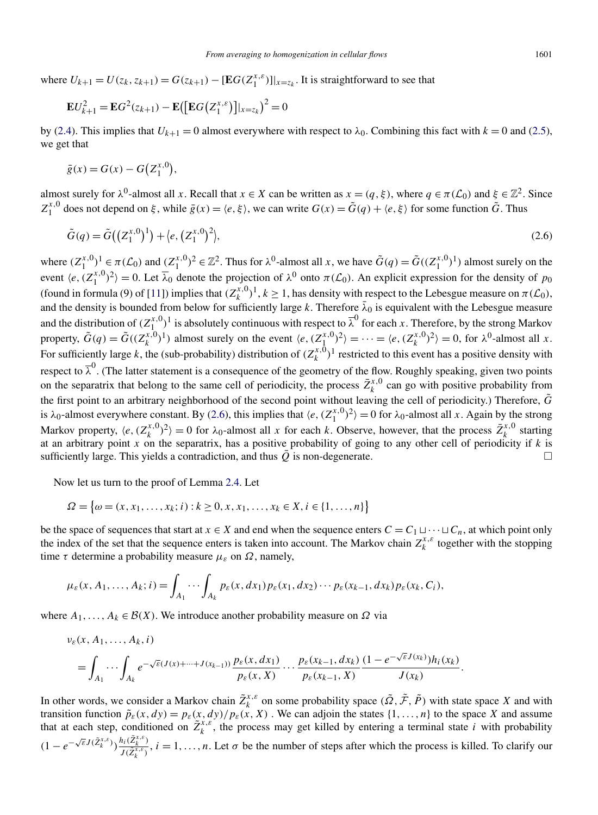where  $U_{k+1} = U(z_k, z_{k+1}) = G(z_{k+1}) - [EG(Z_1^{x,\epsilon})]|_{x=z_k}$ . It is straightforward to see that

$$
\mathbf{E}U_{k+1}^2 = \mathbf{E}G^2(z_{k+1}) - \mathbf{E}([\mathbf{E}G(Z_1^{x,\varepsilon})]|_{x=z_k})^2 = 0
$$

by [\(2.4\)](#page-8-0). This implies that  $U_{k+1} = 0$  almost everywhere with respect to  $λ_0$ . Combining this fact with  $k = 0$  and [\(2.5\)](#page-8-0), we get that

$$
\bar{g}(x) = G(x) - G(Z_1^{x,0}),
$$

almost surely for  $\lambda^0$ -almost all *x*. Recall that  $x \in X$  can be written as  $x = (q, \xi)$ , where  $q \in \pi(\mathcal{L}_0)$  and  $\xi \in \mathbb{Z}^2$ . Since  $Z_1^{x,0}$  does not depend on *ξ*, while  $\bar{g}(x) = \langle e, \xi \rangle$ , we can write  $G(x) = \tilde{G}(q) + \langle e, \xi \rangle$  for some function  $\tilde{G}$ . Thus

$$
\tilde{G}(q) = \tilde{G}\left(\left(Z_1^{x,0}\right)^1\right) + \langle e, \left(Z_1^{x,0}\right)^2 \rangle, \tag{2.6}
$$

where  $(Z_1^{x,0})^1 \in \pi(\mathcal{L}_0)$  and  $(Z_1^{x,0})^2 \in \mathbb{Z}^2$ . Thus for  $\lambda^0$ -almost all x, we have  $\tilde{G}(q) = \tilde{G}((Z_1^{x,0})^1)$  almost surely on the event  $\langle e, (Z_1^{x,0})^2 \rangle = 0$ . Let  $\overline{\lambda}_0$  denote the projection of  $\lambda^0$  onto  $\pi(\mathcal{L}_0)$ . An explicit expression for the density of  $p_0$ (found in formula (9) of [\[11\]](#page-21-0)) implies that  $(Z_k^{x,0})^1, k \ge 1$ , has density with respect to the Lebesgue measure on  $\pi(\mathcal{L}_0)$ , and the density is bounded from below for sufficiently large *k*. Therefore  $\bar{\lambda}_0$  is equivalent with the Lebesgue measure and the distribution of  $(Z_{1}^{x,0})^1$  is absolutely continuous with respect to  $\overline{\lambda}^0$  for each *x*. Therefore, by the strong Markov property,  $\tilde{G}(q) = \tilde{G}((Z_k^{x,0})^1)$  almost surely on the event  $\langle e, (Z_1^{x,0})^2 \rangle = \cdots = \langle e, (Z_k^{x,0})^2 \rangle = 0$ , for  $\lambda^0$ -almost all *x*. For sufficiently large *k*, the (sub-probability) distribution of  $(Z_k^{x,0})^1$  restricted to this event has a positive density with respect to  $\bar{\lambda}^0$ . (The latter statement is a consequence of the geometry of the flow. Roughly speaking, given two points on the separatrix that belong to the same cell of periodicity, the process  $\bar{Z}_k^{x,0}$  can go with positive probability from the first point to an arbitrary neighborhood of the second point without leaving the cell of periodicity.) Therefore,  $\tilde{G}$ is  $\lambda_0$ -almost everywhere constant. By (2.6), this implies that  $\langle e, (Z_1^{x,0})^2 \rangle = 0$  for  $\lambda_0$ -almost all *x*. Again by the strong Markov property,  $\langle e, (Z_k^{x,0})^2 \rangle = 0$  for  $\lambda_0$ -almost all *x* for each *k*. Observe, however, that the process  $\bar{Z}_k^{x,0}$  starting at an arbitrary point *x* on the separatrix, has a positive probability of going to any other cell of periodicity if *k* is sufficiently large. This yields a contradiction, and thus  $Q$  is non-degenerate.  $\Box$ 

Now let us turn to the proof of Lemma [2.4.](#page-7-0) Let

$$
\Omega = \{ \omega = (x, x_1, \dots, x_k; i) : k \ge 0, x, x_1, \dots, x_k \in X, i \in \{1, \dots, n\} \}
$$

be the space of sequences that start at  $x \in X$  and end when the sequence enters  $C = C_1 \cup \cdots \cup C_n$ , at which point only the index of the set that the sequence enters is taken into account. The Markov chain  $Z_k^{x,\varepsilon}$  together with the stopping time  $\tau$  determine a probability measure  $\mu_{\varepsilon}$  on  $\Omega$ , namely,

$$
\mu_{\varepsilon}(x, A_1, \ldots, A_k; i) = \int_{A_1} \cdots \int_{A_k} p_{\varepsilon}(x, dx_1) p_{\varepsilon}(x_1, dx_2) \cdots p_{\varepsilon}(x_{k-1}, dx_k) p_{\varepsilon}(x_k, C_i),
$$

where  $A_1, \ldots, A_k \in \mathcal{B}(X)$ . We introduce another probability measure on  $\Omega$  via

$$
\nu_{\varepsilon}(x, A_1, \ldots, A_k, i)
$$
\n
$$
= \int_{A_1} \cdots \int_{A_k} e^{-\sqrt{\varepsilon}(J(x) + \cdots + J(x_{k-1}))} \frac{p_{\varepsilon}(x, dx_1)}{p_{\varepsilon}(x, X)} \cdots \frac{p_{\varepsilon}(x_{k-1}, dx_k)}{p_{\varepsilon}(x_{k-1}, X)} \frac{(1 - e^{-\sqrt{\varepsilon}J(x_k)})h_i(x_k)}{J(x_k)}.
$$

In other words, we consider a Markov chain  $\tilde{Z}_k^{x,\varepsilon}$  on some probability space  $(\tilde{\Omega}, \tilde{\mathcal{F}}, \tilde{P})$  with state space *X* and with transition function  $\tilde{p}_{\varepsilon}(x,dy) = p_{\varepsilon}(x,dy)/p_{\varepsilon}(x,X)$ . We can adjoin the states  $\{1,\ldots,n\}$  to the space X and assume that at each step, conditioned on  $\tilde{Z}_k^{x,\varepsilon}$ , the process may get killed by entering a terminal state *i* with probability  $(1 - e^{-\sqrt{\varepsilon}J(\tilde{Z}_{k}^{x,\varepsilon})}) \frac{h_i(\tilde{Z}_{k}^{x,\varepsilon})}{L(\tilde{Z}_{k}^{x,\varepsilon})}$  $J(\bar{Z}_k^{x,\ell})$ ,  $i = 1, ..., n$ . Let  $\sigma$  be the number of steps after which the process is killed. To clarify our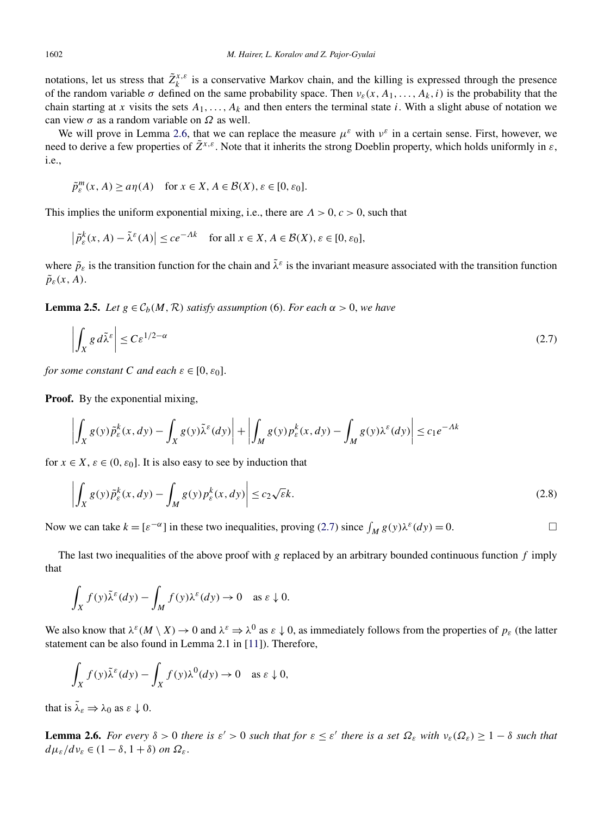<span id="page-10-0"></span>notations, let us stress that  $\tilde{Z}_k^{x,\varepsilon}$  is a conservative Markov chain, and the killing is expressed through the presence of the random variable  $\sigma$  defined on the same probability space. Then  $v_{\varepsilon}(x, A_1, \ldots, A_k, i)$  is the probability that the chain starting at *x* visits the sets  $A_1, \ldots, A_k$  and then enters the terminal state *i*. With a slight abuse of notation we can view *σ* as a random variable on *Ω* as well.

We will prove in Lemma 2.6, that we can replace the measure  $\mu^{\varepsilon}$  with  $\nu^{\varepsilon}$  in a certain sense. First, however, we need to derive a few properties of  $\tilde{Z}^{x,\varepsilon}$ . Note that it inherits the strong Doeblin property, which holds uniformly in  $\varepsilon$ , i.e.,

$$
\tilde{p}_{\varepsilon}^m(x, A) \ge a\eta(A) \quad \text{for } x \in X, A \in \mathcal{B}(X), \varepsilon \in [0, \varepsilon_0].
$$

This implies the uniform exponential mixing, i.e., there are *Λ >* 0*,c>* 0, such that

$$
\left|\tilde{p}^k_{\varepsilon}(x, A) - \tilde{\lambda}^{\varepsilon}(A)\right| \le c e^{-Ak} \quad \text{for all } x \in X, A \in \mathcal{B}(X), \varepsilon \in [0, \varepsilon_0],
$$

where  $\tilde{p}_{\varepsilon}$  is the transition function for the chain and  $\tilde{\lambda}^{\varepsilon}$  is the invariant measure associated with the transition function  $\tilde{p}_{\varepsilon}(x,A)$ .

**Lemma 2.5.** *Let*  $g \in C_b(M, R)$  *satisfy assumption* (6). *For each*  $\alpha > 0$ *, we have* 

$$
\left| \int_X g \, d\tilde{\lambda}^\varepsilon \right| \le C \varepsilon^{1/2 - \alpha} \tag{2.7}
$$

*for some constant C and each*  $\varepsilon \in [0, \varepsilon_0]$ .

**Proof.** By the exponential mixing,

$$
\left| \int_X g(y) \tilde{p}^k_{\varepsilon}(x, dy) - \int_X g(y) \tilde{\lambda}^{\varepsilon}(dy) \right| + \left| \int_M g(y) p^k_{\varepsilon}(x, dy) - \int_M g(y) \lambda^{\varepsilon}(dy) \right| \le c_1 e^{-\Lambda k}
$$

for  $x \in X$ ,  $\varepsilon \in (0, \varepsilon_0]$ . It is also easy to see by induction that

$$
\left| \int_{X} g(y) \tilde{p}_{\varepsilon}^{k}(x, dy) - \int_{M} g(y) p_{\varepsilon}^{k}(x, dy) \right| \leq c_{2} \sqrt{\varepsilon} k.
$$
\n(2.8)

Now we can take  $k = [\varepsilon^{-\alpha}]$  in these two inequalities, proving (2.7) since  $\int_M g(y) \lambda^{\varepsilon}(dy) = 0$ .

The last two inequalities of the above proof with *g* replaced by an arbitrary bounded continuous function *f* imply that

$$
\int_X f(y)\tilde{\lambda}^{\varepsilon}(dy) - \int_M f(y)\lambda^{\varepsilon}(dy) \to 0 \quad \text{as } \varepsilon \downarrow 0.
$$

We also know that  $\lambda^{\varepsilon}(M \setminus X) \to 0$  and  $\lambda^{\varepsilon} \to \lambda^0$  as  $\varepsilon \downarrow 0$ , as immediately follows from the properties of  $p_{\varepsilon}$  (the latter statement can be also found in Lemma 2.1 in [\[11\]](#page-21-0)). Therefore,

$$
\int_X f(y) \tilde{\lambda}^{\varepsilon}(dy) - \int_X f(y) \lambda^0(dy) \to 0 \quad \text{as } \varepsilon \downarrow 0,
$$

that is  $\tilde{\lambda}_{\varepsilon} \Rightarrow \lambda_0$  as  $\varepsilon \downarrow 0$ .

**Lemma 2.6.** For every  $\delta > 0$  there is  $\varepsilon' > 0$  such that for  $\varepsilon \leq \varepsilon'$  there is a set  $\Omega_{\varepsilon}$  with  $v_{\varepsilon}(\Omega_{\varepsilon}) \geq 1 - \delta$  such that  $d\mu_{\varepsilon}/d\nu_{\varepsilon}$  ∈  $(1 − δ, 1 + δ)$  *on*  $\Omega_{\varepsilon}$ .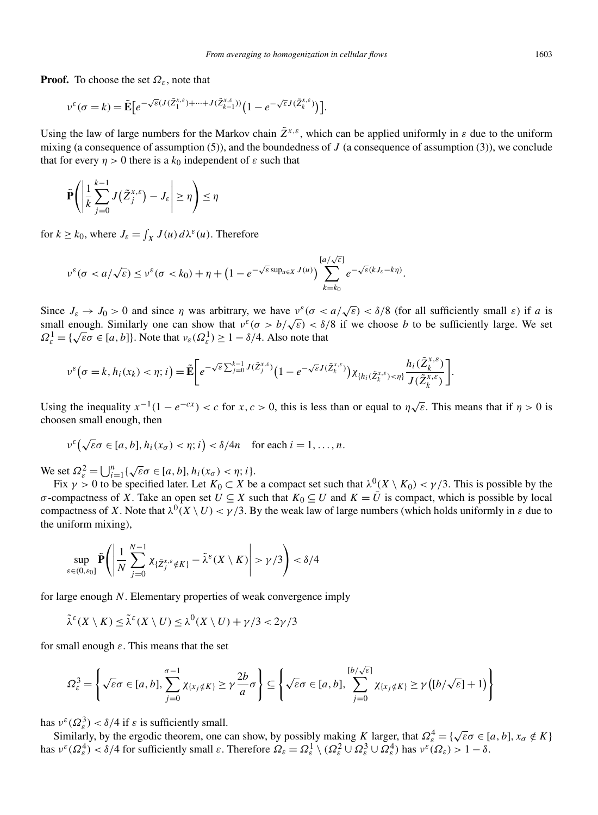**Proof.** To choose the set *Ωε*, note that

$$
\nu^{\varepsilon}(\sigma=k)=\tilde{\mathbf{E}}\big[e^{-\sqrt{\varepsilon}(J(\tilde{Z}_{1}^{x,\varepsilon})+\cdots+J(\tilde{Z}_{k-1}^{x,\varepsilon}))}\big(1-e^{-\sqrt{\varepsilon}J(\tilde{Z}_{k}^{x,\varepsilon})}\big)\big].
$$

Using the law of large numbers for the Markov chain  $\tilde{Z}^{x,\varepsilon}$ , which can be applied uniformly in  $\varepsilon$  due to the uniform mixing (a consequence of assumption (5)), and the boundedness of *J* (a consequence of assumption (3)), we conclude that for every  $\eta > 0$  there is a  $k_0$  independent of  $\varepsilon$  such that

$$
\tilde{\mathbf{P}}\left(\left|\frac{1}{k}\sum_{j=0}^{k-1}J\left(\tilde{Z}_{j}^{x,\varepsilon}\right)-J_{\varepsilon}\right|\geq\eta\right)\leq\eta
$$

for  $k \ge k_0$ , where  $J_{\varepsilon} = \int_X J(u) d\lambda^{\varepsilon}(u)$ . Therefore

$$
\nu^{\varepsilon}(\sigma < a/\sqrt{\varepsilon}) \leq \nu^{\varepsilon}(\sigma < k_{0}) + \eta + (1 - e^{-\sqrt{\varepsilon} \sup_{u \in X} J(u)}) \sum_{k=k_{0}}^{[a/\sqrt{\varepsilon}]} e^{-\sqrt{\varepsilon} (kJ_{\varepsilon} - k\eta)}.
$$

Since  $J_{\varepsilon} \to J_0 > 0$  and since  $\eta$  was arbitrary, we have  $v^{\varepsilon}(\sigma < a/\sqrt{\varepsilon}) < \delta/8$  (for all sufficiently small  $\varepsilon$ ) if *a* is small enough. Similarly one can show that  $v^{\varepsilon}(\sigma > b/\sqrt{\varepsilon}) < \delta/8$  if we choose *b* to be sufficiently large. We set *Ω*<sub>*ε*</sub> = { $\sqrt{\epsilon} \sigma \in [a, b]$ }. Note that  $v_{\epsilon}(\Omega_{\epsilon}^1) \ge 1 - \delta/4$ . Also note that

$$
\nu^{\varepsilon}\big(\sigma=k,h_i(x_k)<\eta; i\big)=\tilde{\mathbf{E}}\bigg[e^{-\sqrt{\varepsilon}\sum_{j=0}^{k-1}J(\tilde{Z}_j^{x,\varepsilon})}\big(1-e^{-\sqrt{\varepsilon}J(\tilde{Z}_k^{x,\varepsilon})}\big)\chi_{\{h_i(\tilde{Z}_k^{x,\varepsilon})<\eta\}}\frac{h_i(\tilde{Z}_k^{x,\varepsilon})}{J(\tilde{Z}_k^{x,\varepsilon})}\bigg].
$$

Using the inequality  $x^{-1}(1 - e^{-cx}) < c$  for  $x, c > 0$ , this is less than or equal to  $\eta \sqrt{\varepsilon}$ . This means that if  $\eta > 0$  is choosen small enough, then

$$
\nu^{\varepsilon}\big(\sqrt{\varepsilon}\sigma\in [a,b], h_i(x_{\sigma})<\eta; i\big)<\delta/4n \quad \text{for each } i=1,\ldots,n.
$$

We set  $\Omega_{\varepsilon}^2 = \bigcup_{i=1}^n \{ \sqrt{\varepsilon} \sigma \in [a, b], h_i(x_{\sigma}) < \eta; i \}.$ 

Fix  $\gamma > 0$  to be specified later. Let  $K_0 \subset X$  be a compact set such that  $\lambda^0(X \setminus K_0) < \gamma/3$ . This is possible by the *σ* -compactness of *X*. Take an open set  $U \subseteq X$  such that  $K_0 \subseteq U$  and  $K = \overline{U}$  is compact, which is possible by local compactness of *X*. Note that  $\lambda^0(X \setminus U) < \gamma/3$ . By the weak law of large numbers (which holds uniformly in  $\varepsilon$  due to the uniform mixing),

$$
\sup_{\varepsilon \in (0,\varepsilon_0]} \tilde{\mathbf{P}} \left( \left| \frac{1}{N} \sum_{j=0}^{N-1} \chi_{\{\tilde{Z}_j^{x,\varepsilon} \notin K\}} - \tilde{\lambda}^{\varepsilon}(X \setminus K) \right| > \gamma/3 \right) < \delta/4
$$

for large enough *N*. Elementary properties of weak convergence imply

 $\tilde{\lambda}^{\varepsilon}(X \setminus K) \leq \tilde{\lambda}^{\varepsilon}(X \setminus U) \leq \lambda^{0}(X \setminus U) + \gamma/3 < 2\gamma/3$ 

for small enough *ε*. This means that the set

$$
\Omega_{\varepsilon}^{3} = \left\{ \sqrt{\varepsilon}\sigma \in [a, b], \sum_{j=0}^{\sigma-1} \chi_{\{x_{j} \notin K\}} \ge \gamma \frac{2b}{a} \sigma \right\} \subseteq \left\{ \sqrt{\varepsilon}\sigma \in [a, b], \sum_{j=0}^{[b/\sqrt{\varepsilon}]} \chi_{\{x_{j} \notin K\}} \ge \gamma \left( [b/\sqrt{\varepsilon}] + 1 \right) \right\}
$$

has  $v^{\varepsilon}(\Omega_{\varepsilon}^3) < \delta/4$  if  $\varepsilon$  is sufficiently small.

Similarly, by the ergodic theorem, one can show, by possibly making *K* larger, that  $\Omega_{\varepsilon}^4 = {\sqrt{\varepsilon} \sigma \in [a, b], x_{\sigma} \notin K}$ has  $v^{\varepsilon}(\Omega_{\varepsilon}^4) < \delta/4$  for sufficiently small  $\varepsilon$ . Therefore  $\Omega_{\varepsilon} = \Omega_{\varepsilon}^1 \setminus (\Omega_{\varepsilon}^2 \cup \Omega_{\varepsilon}^3 \cup \Omega_{\varepsilon}^4)$  has  $v^{\varepsilon}(\Omega_{\varepsilon}) > 1 - \delta$ .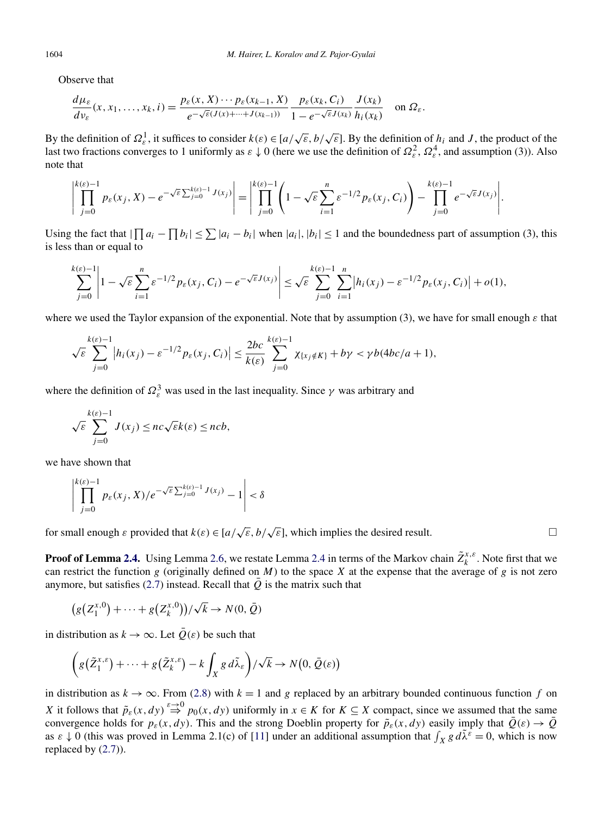Observe that

$$
\frac{d\mu_{\varepsilon}}{dv_{\varepsilon}}(x,x_1,\ldots,x_k,i)=\frac{p_{\varepsilon}(x,X)\cdots p_{\varepsilon}(x_{k-1},X)}{e^{-\sqrt{\varepsilon}(J(x)+\cdots+J(x_{k-1}))}}\frac{p_{\varepsilon}(x_k,C_i)}{1-e^{-\sqrt{\varepsilon}J(x_k)}}\frac{J(x_k)}{h_i(x_k)}\quad\text{on }\Omega_{\varepsilon}.
$$

By the definition of  $\Omega_{\varepsilon}^1$ , it suffices to consider  $k(\varepsilon) \in [a/\sqrt{\varepsilon}, b/\sqrt{\varepsilon}]$ . By the definition of  $h_i$  and *J*, the product of the last two fractions converges to 1 uniformly as  $\varepsilon \downarrow 0$  (here we use the definition of  $\Omega_\varepsilon^2$ ,  $\Omega_\varepsilon^4$ , and assumption (3)). Also note that

$$
\left|\prod_{j=0}^{k(\varepsilon)-1} p_{\varepsilon}(x_j,X)-e^{-\sqrt{\varepsilon}\sum_{j=0}^{k(\varepsilon)-1}J(x_j)}\right|=\left|\prod_{j=0}^{k(\varepsilon)-1}\left(1-\sqrt{\varepsilon}\sum_{i=1}^n\varepsilon^{-1/2}p_{\varepsilon}(x_j,C_i)\right)-\prod_{j=0}^{k(\varepsilon)-1}e^{-\sqrt{\varepsilon}J(x_j)}\right|.
$$

Using the fact that  $|\prod a_i - \prod b_i| \leq \sum |a_i - b_i|$  when  $|a_i|, |b_i| \leq 1$  and the boundedness part of assumption (3), this is less than or equal to

$$
\sum_{j=0}^{k(\varepsilon)-1} \left| 1 - \sqrt{\varepsilon} \sum_{i=1}^n \varepsilon^{-1/2} p_\varepsilon(x_j, C_i) - e^{-\sqrt{\varepsilon} J(x_j)} \right| \leq \sqrt{\varepsilon} \sum_{j=0}^{k(\varepsilon)-1} \sum_{i=1}^n \left| h_i(x_j) - \varepsilon^{-1/2} p_\varepsilon(x_j, C_i) \right| + o(1),
$$

where we used the Taylor expansion of the exponential. Note that by assumption (3), we have for small enough *ε* that

$$
\sqrt{\varepsilon} \sum_{j=0}^{k(\varepsilon)-1} |h_i(x_j) - \varepsilon^{-1/2} p_{\varepsilon}(x_j, C_i)| \leq \frac{2bc}{k(\varepsilon)} \sum_{j=0}^{k(\varepsilon)-1} \chi_{\{x_j \notin K\}} + b\gamma < \gamma b(4bc/a + 1),
$$

where the definition of  $\Omega_{\varepsilon}^3$  was used in the last inequality. Since  $\gamma$  was arbitrary and

$$
\sqrt{\varepsilon} \sum_{j=0}^{k(\varepsilon)-1} J(x_j) \leq nc \sqrt{\varepsilon} k(\varepsilon) \leq ncb,
$$

we have shown that

$$
\left| \prod_{j=0}^{k(\varepsilon)-1} p_{\varepsilon}(x_j, X) / e^{-\sqrt{\varepsilon} \sum_{j=0}^{k(\varepsilon)-1} J(x_j)} - 1 \right| < \delta
$$

for small enough  $\varepsilon$  provided that  $k(\varepsilon) \in [a/\sqrt{\varepsilon}, b/\sqrt{\varepsilon}]$ , which implies the desired result.  $\square$ 

**Proof of Lemma [2.4.](#page-7-0)** Using Lemma [2.6,](#page-10-0) we restate Lemma [2.4](#page-7-0) in terms of the Markov chain  $\tilde{Z}_k^{x,\varepsilon}$ . Note first that we can restrict the function  $g$  (originally defined on  $M$ ) to the space  $X$  at the expense that the average of  $g$  is not zero anymore, but satisfies [\(2.7\)](#page-10-0) instead. Recall that  $\overline{Q}$  is the matrix such that

$$
(g(Z_1^{x,0}) + \cdots + g(Z_k^{x,0})) / \sqrt{k} \to N(0,\bar{Q})
$$

in distribution as  $k \to \infty$ . Let  $\overline{Q}(\varepsilon)$  be such that

$$
\left(g\left(\tilde{Z}_{1}^{x,\varepsilon}\right)+\cdots+g\left(\tilde{Z}_{k}^{x,\varepsilon}\right)-k\int_{X}g\,d\tilde{\lambda}_{\varepsilon}\right)/\sqrt{k}\to N\big(0,\,\bar{Q}(\varepsilon)\big)
$$

in distribution as  $k \to \infty$ . From [\(2.8\)](#page-10-0) with  $k = 1$  and *g* replaced by an arbitrary bounded continuous function *f* on *X* it follows that  $\tilde{p}_{\varepsilon}(x,dy) \stackrel{\varepsilon \to 0}{\Rightarrow} p_0(x,dy)$  uniformly in  $x \in K$  for  $K \subseteq X$  compact, since we assumed that the same convergence holds for  $p_{\varepsilon}(x,dy)$ . This and the strong Doeblin property for  $\tilde{p}_{\varepsilon}(x,dy)$  easily imply that  $\overline{Q}(\varepsilon) \to \overline{Q}$ as  $\varepsilon \downarrow 0$  (this was proved in Lemma 2.1(c) of [\[11\]](#page-21-0) under an additional assumption that  $\int_X g d\tilde{\lambda}^{\varepsilon} = 0$ , which is now replaced by [\(2.7\)](#page-10-0)).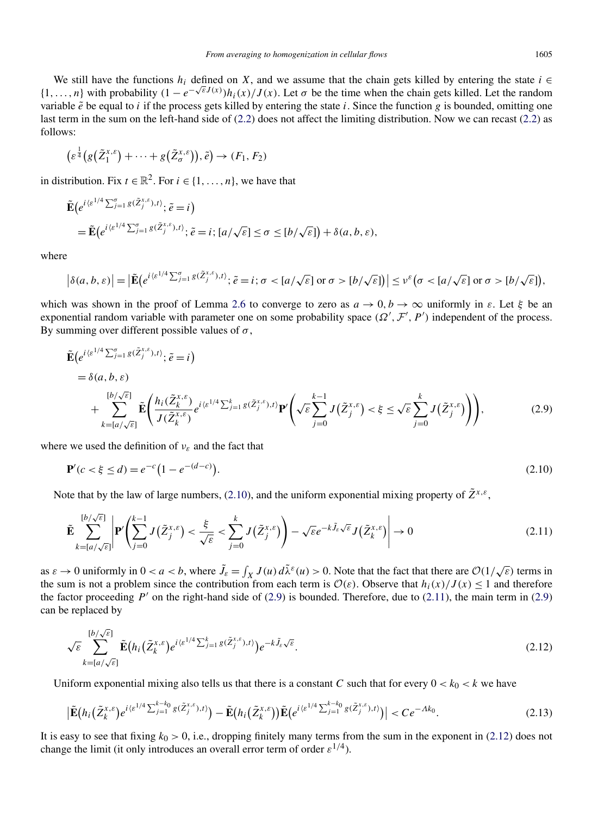<span id="page-13-0"></span>We still have the functions  $h_i$  defined on *X*, and we assume that the chain gets killed by entering the state  $i \in$  $\{1,\ldots,n\}$  with probability  $(1-e^{-\sqrt{\varepsilon}J(x)})h_i(x)/J(x)$ . Let  $\sigma$  be the time when the chain gets killed. Let the random variable  $\tilde{e}$  be equal to *i* if the process gets killed by entering the state *i*. Since the function *g* is bounded, omitting one last term in the sum on the left-hand side of [\(2.2\)](#page-7-0) does not affect the limiting distribution. Now we can recast [\(2.2\)](#page-7-0) as follows:

$$
\left(\varepsilon^{\frac{1}{4}}(g(\tilde{Z}_{1}^{x,\varepsilon})+\cdots+g(\tilde{Z}_{\sigma}^{x,\varepsilon})),\tilde{e}\right)\to(F_{1},F_{2})
$$

in distribution. Fix  $t \in \mathbb{R}^2$ . For  $i \in \{1, \ldots, n\}$ , we have that

$$
\tilde{\mathbf{E}}\big(e^{i\langle \varepsilon^{1/4}\sum_{j=1}^{\sigma}g(\tilde{Z}_{j}^{x,\varepsilon}),t\rangle};\tilde{e}=i\big) \n= \tilde{\mathbf{E}}\big(e^{i\langle \varepsilon^{1/4}\sum_{j=1}^{\sigma}g(\tilde{Z}_{j}^{x,\varepsilon}),t\rangle};\tilde{e}=i;[a/\sqrt{\varepsilon}]\leq \sigma \leq [b/\sqrt{\varepsilon}]\big) + \delta(a,b,\varepsilon),
$$

where

$$
\left|\delta(a,b,\varepsilon)\right| = \left|\tilde{\mathbf{E}}\left(e^{i\langle \varepsilon^{1/4}\sum_{j=1}^{\sigma}g(\tilde{Z}_{j}^{x,\varepsilon}),t\rangle};\tilde{e}=i;\sigma< [a/\sqrt{\varepsilon}]\text{ or }\sigma>[b/\sqrt{\varepsilon}]\right)\right| \leq \nu^{\varepsilon}\big(\sigma< [a/\sqrt{\varepsilon}]\text{ or }\sigma>[b/\sqrt{\varepsilon}]\big),
$$

which was shown in the proof of Lemma [2.6](#page-10-0) to converge to zero as  $a \to 0, b \to \infty$  uniformly in  $\varepsilon$ . Let  $\xi$  be an exponential random variable with parameter one on some probability space  $(\Omega', \mathcal{F}', P')$  independent of the process. By summing over different possible values of  $\sigma$ ,

$$
\tilde{\mathbf{E}}\left(e^{i\langle \varepsilon^{1/4}\sum_{j=1}^{\sigma}g(\tilde{Z}_{j}^{x,\varepsilon}),t\rangle};\tilde{e}=i\right) \n= \delta(a,b,\varepsilon) \n+ \sum_{k= [a/\sqrt{\varepsilon}]}^{[b/\sqrt{\varepsilon}]} \tilde{\mathbf{E}}\left(\frac{h_{i}(\tilde{Z}_{k}^{x,\varepsilon})}{J(\tilde{Z}_{k}^{x,\varepsilon})}e^{i\langle \varepsilon^{1/4}\sum_{j=1}^{k}g(\tilde{Z}_{j}^{x,\varepsilon}),t\rangle}\mathbf{P}'\left(\sqrt{\varepsilon}\sum_{j=0}^{k-1}J(\tilde{Z}_{j}^{x,\varepsilon})<\xi\leq \sqrt{\varepsilon}\sum_{j=0}^{k}J(\tilde{Z}_{j}^{x,\varepsilon})\right)\right),
$$
\n(2.9)

where we used the definition of *νε* and the fact that

$$
\mathbf{P}'(c < \xi \le d) = e^{-c} \left( 1 - e^{-(d-c)} \right). \tag{2.10}
$$

Note that by the law of large numbers, (2.10), and the uniform exponential mixing property of  $\tilde{Z}^{x,\varepsilon}$ ,

$$
\tilde{\mathbf{E}}\sum_{k=[a/\sqrt{\varepsilon}]}^{[b/\sqrt{\varepsilon}]} \left| \mathbf{P}'\left(\sum_{j=0}^{k-1} J(\tilde{Z}^{x,\varepsilon}_j) < \frac{\xi}{\sqrt{\varepsilon}} < \sum_{j=0}^k J(\tilde{Z}^{x,\varepsilon}_j) \right) - \sqrt{\varepsilon} e^{-k\tilde{J}_{\varepsilon}\sqrt{\varepsilon}} J(\tilde{Z}^{x,\varepsilon}_k) \right| \to 0 \tag{2.11}
$$

as  $\varepsilon \to 0$  uniformly in  $0 < a < b$ , where  $\tilde{J}_{\varepsilon} = \int_X J(u) d\tilde{\lambda}^{\varepsilon}(u) > 0$ . Note that the fact that there are  $\mathcal{O}(1/\sqrt{\varepsilon})$  terms in the sum is not a problem since the contribution from each term is  $\mathcal{O}(\varepsilon)$ . Observe that  $h_i(x)/J(x) \leq 1$  and therefore the factor proceeding  $P'$  on the right-hand side of (2.9) is bounded. Therefore, due to (2.11), the main term in (2.9) can be replaced by

$$
\sqrt{\varepsilon} \sum_{k=[a/\sqrt{\varepsilon}]}^{[b/\sqrt{\varepsilon}]} \tilde{\mathbf{E}}(h_i(\tilde{Z}_k^{x,\varepsilon})e^{i\langle \varepsilon^{1/4}\sum_{j=1}^k g(\tilde{Z}_j^{x,\varepsilon}),t\rangle})e^{-k\tilde{J}_{\varepsilon}\sqrt{\varepsilon}}.
$$
\n(2.12)

Uniform exponential mixing also tells us that there is a constant *C* such that for every  $0 < k_0 < k$  we have

$$
\left| \tilde{\mathbf{E}} \left( h_i \left( \tilde{Z}_k^{x,\varepsilon} \right) e^{i \langle \varepsilon^{1/4} \sum_{j=1}^{k-k_0} g(\tilde{Z}_j^{x,\varepsilon}), t \rangle} \right) - \tilde{\mathbf{E}} \left( h_i \left( \tilde{Z}_k^{x,\varepsilon} \right) \right) \tilde{\mathbf{E}} \left( e^{i \langle \varepsilon^{1/4} \sum_{j=1}^{k-k_0} g(\tilde{Z}_j^{x,\varepsilon}), t \rangle} \right) \right| < C e^{-\Lambda k_0} . \tag{2.13}
$$

It is easy to see that fixing  $k_0 > 0$ , i.e., dropping finitely many terms from the sum in the exponent in (2.12) does not change the limit (it only introduces an overall error term of order  $\varepsilon^{1/4}$ ).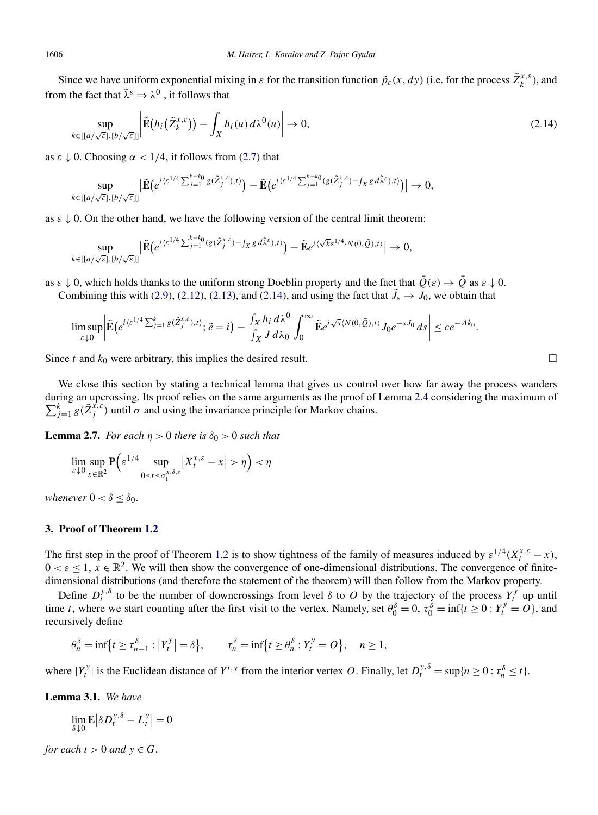Since we have uniform exponential mixing in  $\varepsilon$  for the transition function  $\tilde{p}_{\varepsilon}(x, dy)$  (i.e. for the process  $\tilde{Z}_{k}^{x,\varepsilon}$ ), and from the fact that  $\tilde{\lambda}^{\varepsilon} \Rightarrow \lambda^0$ , it follows that

$$
\sup_{k \in [[a/\sqrt{\varepsilon}],[b/\sqrt{\varepsilon}]]} \left| \tilde{\mathbf{E}}(h_i(\tilde{Z}_k^{x,\varepsilon})) - \int_X h_i(u) \, d\lambda^0(u) \right| \to 0, \tag{2.14}
$$

as  $\varepsilon \downarrow 0$ . Choosing  $\alpha < 1/4$ , it follows from [\(2.7\)](#page-10-0) that

$$
\sup_{k\in[[a/\sqrt{\varepsilon}],[b/\sqrt{\varepsilon}]]}\big|\tilde{\mathbf{E}}\big(e^{i\langle \varepsilon^{1/4}\sum_{j=1}^{k-k_0}g(\tilde{Z}_j^{x,\varepsilon}),t\rangle}\big)-\tilde{\mathbf{E}}\big(e^{i\langle \varepsilon^{1/4}\sum_{j=1}^{k-k_0}g(\tilde{Z}_j^{x,\varepsilon})-f_Xg\,d\tilde{\lambda}^{\varepsilon}),t\rangle}\big)\big|\to 0,
$$

as  $\varepsilon \downarrow 0$ . On the other hand, we have the following version of the central limit theorem:

$$
\sup_{k\in[[a/\sqrt{\varepsilon}],[b/\sqrt{\varepsilon}]]}\big|\tilde{\mathbf{E}}\big(e^{i\langle \varepsilon^{1/4}\sum_{j=1}^{k-k_0}(g(\tilde{Z}_j^{x,\varepsilon})-\int_X g\,d\tilde{\lambda}^{\varepsilon}),t\rangle}\big)-\tilde{\mathbf{E}}e^{i\langle \sqrt{k}\varepsilon^{1/4}\cdot N(0,\tilde{Q}),t\rangle}\big|\to 0,
$$

as  $\varepsilon \downarrow 0$ , which holds thanks to the uniform strong Doeblin property and the fact that  $\overline{Q}(\varepsilon) \to \overline{Q}$  as  $\varepsilon \downarrow 0$ . Combining this with [\(2.9\)](#page-13-0), [\(2.12\)](#page-13-0), [\(2.13\)](#page-13-0), and (2.14), and using the fact that  $\tilde{J}_{\varepsilon} \to J_0$ , we obtain that

$$
\limsup_{\varepsilon \downarrow 0} \left| \tilde{\mathbf{E}} \left( e^{i \langle \varepsilon^{1/4} \sum_{j=1}^k g(\tilde{Z}_j^{x,\varepsilon}),t \rangle}; \tilde{e} = i \right) - \frac{\int_X h_i \, d\lambda^0}{\int_X J \, d\lambda_0} \int_0^\infty \tilde{\mathbf{E}} e^{i \sqrt{s} \langle N(0,\tilde{Q}),t \rangle} J_0 e^{-sJ_0} ds \right| \leq c e^{-\Lambda k_0}.
$$

Since *t* and  $k_0$  were arbitrary, this implies the desired result.  $\Box$ 

We close this section by stating a technical lemma that gives us control over how far away the process wanders  $\sum_{j=1}^{k} g(\tilde{Z}_{j}^{x,\varepsilon})$  until  $\sigma$  and using the invariance principle for Markov chains. during an upcrossing. Its proof relies on the same arguments as the proof of Lemma [2.4](#page-7-0) considering the maximum of

**Lemma 2.7.** *For each*  $\eta > 0$  *there is*  $\delta_0 > 0$  *such that* 

$$
\lim_{\varepsilon \downarrow 0} \sup_{x \in \mathbb{R}^2} \mathbf{P} \Big( \varepsilon^{1/4} \sup_{0 \le t \le \sigma_1^{x, \delta, \varepsilon}} \big| X_t^{x, \varepsilon} - x \big| > \eta \Big) < \eta
$$

*whenever*  $0 < \delta < \delta_0$ .

#### **3. Proof of Theorem [1.2](#page-3-0)**

The first step in the proof of Theorem [1.2](#page-3-0) is to show tightness of the family of measures induced by  $\varepsilon^{1/4}(X_t^{x,\varepsilon}-x)$ ,  $0 < \varepsilon \leq 1$ ,  $x \in \mathbb{R}^2$ . We will then show the convergence of one-dimensional distributions. The convergence of finitedimensional distributions (and therefore the statement of the theorem) will then follow from the Markov property.

Define  $D_t^{y,\delta}$  to be the number of downcrossings from level  $\delta$  to  $O$  by the trajectory of the process  $Y_t^y$  up until time *t*, where we start counting after the first visit to the vertex. Namely, set  $\theta_0^{\delta} = 0$ ,  $\tau_0^{\delta} = \inf\{t \geq 0 : Y_t^{\delta} = 0\}$ , and recursively define

$$
\theta_n^{\delta} = \inf \{ t \ge \tau_{n-1}^{\delta} : |Y_t^y| = \delta \}, \qquad \tau_n^{\delta} = \inf \{ t \ge \theta_n^{\delta} : Y_t^y = O \}, \quad n \ge 1,
$$

where  $|Y_t^y|$  is the Euclidean distance of  $Y^{t,y}$  from the interior vertex *O*. Finally, let  $D_t^{y,\delta} = \sup\{n \ge 0 : \tau_n^{\delta} \le t\}$ .

**Lemma 3.1.** *We have*

 $\lim_{\delta \downarrow 0} \mathbf{E} \left| \delta D_t^{y,\delta} - L_t^y \right| = 0$ 

*for each*  $t > 0$  *and*  $y \in G$ .

<span id="page-14-0"></span>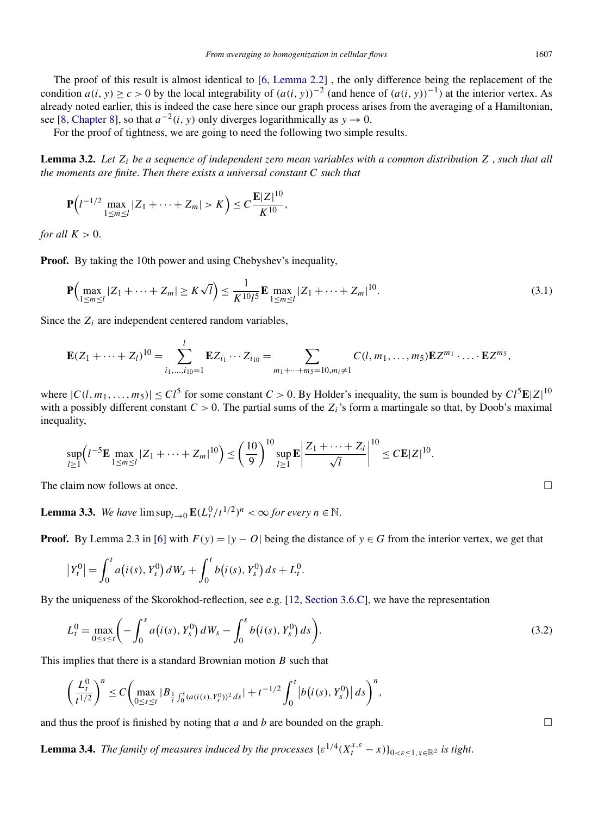<span id="page-15-0"></span>The proof of this result is almost identical to [\[6, Lemma 2.2\]](#page-21-0) , the only difference being the replacement of the condition *a(i,y)* ≥ *c* > 0 by the local integrability of  $(a(i, y))^{-2}$  (and hence of  $(a(i, y))^{-1}$ ) at the interior vertex. As already noted earlier, this is indeed the case here since our graph process arises from the averaging of a Hamiltonian, see [\[8, Chapter 8\]](#page-21-0), so that  $a^{-2}(i, y)$  only diverges logarithmically as  $y \to 0$ .

For the proof of tightness, we are going to need the following two simple results.

**Lemma 3.2.** *Let Zi be a sequence of independent zero mean variables with a common distribution Z* , *such that all the moments are finite*. *Then there exists a universal constant C such that*

$$
\mathbf{P}\Big(l^{-1/2}\max_{1\leq m\leq l}|Z_1+\cdots+Z_m|>K\Big)\leq C\frac{\mathbf{E}|Z|^{10}}{K^{10}},
$$

*for all*  $K > 0$ .

**Proof.** By taking the 10th power and using Chebyshev's inequality,

$$
\mathbf{P}\Big(\max_{1 \le m \le l} |Z_1 + \dots + Z_m| \ge K\sqrt{l}\Big) \le \frac{1}{K^{10}l^5} \mathbf{E} \max_{1 \le m \le l} |Z_1 + \dots + Z_m|^{10}.\tag{3.1}
$$

Since the  $Z_i$  are independent centered random variables,

$$
\mathbf{E}(Z_1+\cdots+Z_l)^{10}=\sum_{i_1,\ldots,i_{10}=1}^l \mathbf{E} Z_{i_1}\cdots Z_{i_{10}}=\sum_{m_1+\cdots+m_5=10,m_i\neq 1} C(l,m_1,\ldots,m_5)\mathbf{E} Z^{m_1}\cdot\ldots\cdot \mathbf{E} Z^{m_5},
$$

where  $|C(l, m_1, \ldots, m_5)| \leq C l^5$  for some constant  $C > 0$ . By Holder's inequality, the sum is bounded by  $Cl^5 \mathbf{E} |Z|^{10}$ with a possibly different constant  $C > 0$ . The partial sums of the  $Z_i$ 's form a martingale so that, by Doob's maximal inequality,

$$
\sup_{l\geq 1}\Big(l^{-5}\mathbf{E}\max_{1\leq m\leq l}|Z_1+\cdots+Z_m|^{10}\Big)\leq \left(\frac{10}{9}\right)^{10}\sup_{l\geq 1}\mathbf{E}\left|\frac{Z_1+\cdots+Z_l}{\sqrt{l}}\right|^{10}\leq C\mathbf{E}|Z|^{10}.
$$

The claim now follows at once.  $\Box$ 

**Lemma 3.3.** *We have*  $\limsup_{t\to 0} \mathbf{E}(L_t^0/t^{1/2})^n < \infty$  for every  $n \in \mathbb{N}$ .

**Proof.** By Lemma 2.3 in [\[6\]](#page-21-0) with  $F(y) = |y - O|$  being the distance of  $y \in G$  from the interior vertex, we get that

$$
\left|Y_t^0\right| = \int_0^t a\big(i(s), Y_s^0\big) dW_s + \int_0^t b\big(i(s), Y_s^0\big) ds + L_t^0.
$$

By the uniqueness of the Skorokhod-reflection, see e.g. [\[12, Section 3.6.C\]](#page-21-0), we have the representation

$$
L_t^0 = \max_{0 \le s \le t} \left( -\int_0^s a(i(s), Y_s^0) dW_s - \int_0^s b(i(s), Y_s^0) ds \right).
$$
 (3.2)

This implies that there is a standard Brownian motion *B* such that

$$
\left(\frac{L_t^0}{t^{1/2}}\right)^n \leq C \left( \max_{0 \leq s \leq t} |B_{\frac{1}{t} \int_0^s (a(i(s), Y_s^0))^2 ds}| + t^{-1/2} \int_0^t \left| b(i(s), Y_s^0) \right| ds \right)^n,
$$

and thus the proof is finished by noting that *a* and *b* are bounded on the graph.  $\Box$ 

**Lemma 3.4.** *The family of measures induced by the processes*  $\{ \varepsilon^{1/4} (X_t^{x,\varepsilon} - x) \}_{0 \leq \varepsilon \leq 1, x \in \mathbb{R}^2}$  is tight.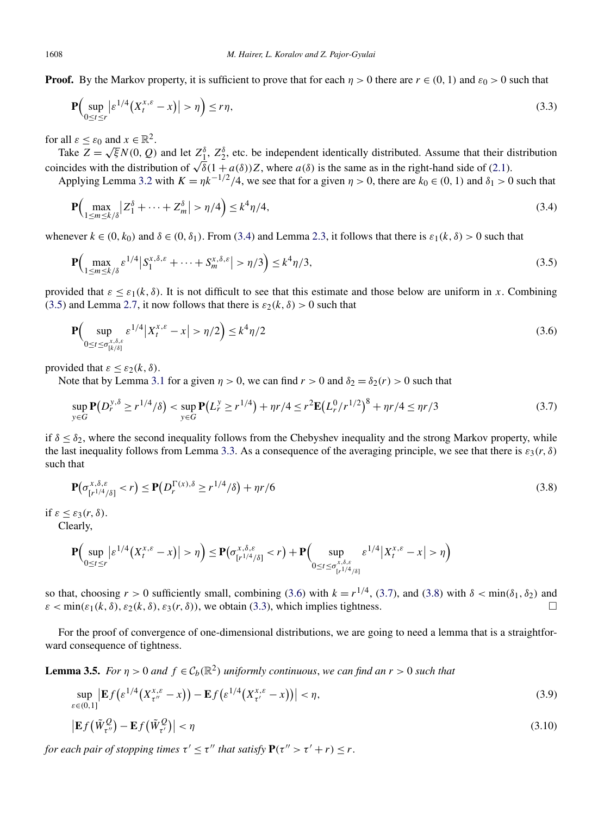<span id="page-16-0"></span>**Proof.** By the Markov property, it is sufficient to prove that for each  $\eta > 0$  there are  $r \in (0, 1)$  and  $\varepsilon_0 > 0$  such that

$$
\mathbf{P}\Big(\sup_{0\leq t\leq r} \left|\varepsilon^{1/4}\big(X_t^{x,\varepsilon}-x\big)\right|>\eta\Big)\leq r\eta,\tag{3.3}
$$

for all  $\varepsilon < \varepsilon_0$  and  $x \in \mathbb{R}^2$ .

Take  $Z = \sqrt{\xi}N(0, Q)$  and let  $Z_1^{\delta}$ ,  $Z_2^{\delta}$ , etc. be independent identically distributed. Assume that their distribution coincides with the distribution of  $\sqrt{\delta}(1 + a(\delta))Z$ , where  $a(\delta)$  is the same as in the right-hand side of [\(2.1\)](#page-5-0).

Applying Lemma [3.2](#page-15-0) with  $K = \frac{\eta k^{-1/2}}{4}$ , we see that for a given  $\eta > 0$ , there are  $k_0 \in (0, 1)$  and  $\delta_1 > 0$  such that

$$
\mathbf{P}\Big(\max_{1 \le m \le k/\delta} |Z_1^{\delta} + \dots + Z_m^{\delta}| > \eta/4\Big) \le k^4 \eta/4,\tag{3.4}
$$

whenever  $k \in (0, k_0)$  and  $\delta \in (0, \delta_1)$ . From (3.4) and Lemma [2.3,](#page-6-0) it follows that there is  $\varepsilon_1(k, \delta) > 0$  such that

$$
\mathbf{P}\Big(\max_{1 \le m \le k/\delta} \varepsilon^{1/4} \big| S_1^{x, \delta, \varepsilon} + \dots + S_m^{x, \delta, \varepsilon} \big| > \eta/3 \Big) \le k^4 \eta/3,
$$
\n(3.5)

provided that  $\varepsilon \leq \varepsilon_1(k,\delta)$ . It is not difficult to see that this estimate and those below are uniform in *x*. Combining (3.5) and Lemma [2.7,](#page-14-0) it now follows that there is  $\varepsilon_2(k,\delta) > 0$  such that

$$
\mathbf{P}\left(\sup_{0 \le t \le \sigma_{[k/\delta]}^{x,\delta,\varepsilon}} \varepsilon^{1/4} \left| X_t^{x,\varepsilon} - x \right| > \eta/2\right) \le k^4 \eta/2\tag{3.6}
$$

provided that  $\varepsilon \leq \varepsilon_2(k,\delta)$ .

Note that by Lemma [3.1](#page-14-0) for a given  $\eta > 0$ , we can find  $r > 0$  and  $\delta_2 = \delta_2(r) > 0$  such that

$$
\sup_{y \in G} \mathbf{P}(D_r^{y,\delta} \ge r^{1/4}/\delta) < \sup_{y \in G} \mathbf{P}(L_r^y \ge r^{1/4}) + \eta r/4 \le r^2 \mathbf{E}(L_r^0 / r^{1/2})^8 + \eta r/4 \le \eta r/3 \tag{3.7}
$$

if  $\delta \leq \delta_2$ , where the second inequality follows from the Chebyshev inequality and the strong Markov property, while the last inequality follows from Lemma [3.3.](#page-15-0) As a consequence of the averaging principle, we see that there is  $\varepsilon_3(r,\delta)$ such that

$$
\mathbf{P}\big(\sigma_{\left[r^{1/4}/\delta\right]}^{\chi,\delta,\varepsilon} < r\big) \le \mathbf{P}\big(D_r^{\Gamma(\chi),\delta} \ge r^{1/4}/\delta\big) + \eta r/6\tag{3.8}
$$

if *ε* ≤ *ε*3*(r,δ)*.

Clearly,

$$
\mathbf{P}\Big(\sup_{0\leq t\leq r}|\varepsilon^{1/4}\big(X^{x,\varepsilon}_{t}-x\big)\big|>\eta\Big)\leq \mathbf{P}\big(\sigma^{\frac{x,\delta,\varepsilon}{(r^{1/4}/\delta]}}_{\{r^{1/4}/\delta\}}\eta\Big)
$$

so that, choosing  $r > 0$  sufficiently small, combining (3.6) with  $k = r^{1/4}$ , (3.7), and (3.8) with  $\delta < \min(\delta_1, \delta_2)$  and  $\varepsilon$  < min $(\varepsilon_1(k,\delta), \varepsilon_2(k,\delta), \varepsilon_3(r,\delta))$ , we obtain (3.3), which implies tightness.

For the proof of convergence of one-dimensional distributions, we are going to need a lemma that is a straightforward consequence of tightness.

**Lemma 3.5.** *For*  $\eta > 0$  *and*  $f \in C_b(\mathbb{R}^2)$  *uniformly continuous, we can find an*  $r > 0$  *such that* 

$$
\sup_{\varepsilon \in (0,1]} \left| \mathbf{E} f\big(\varepsilon^{1/4} \big(X_{\tau''}^{x,\varepsilon} - x\big)\big) - \mathbf{E} f\big(\varepsilon^{1/4} \big(X_{\tau'}^{x,\varepsilon} - x\big)\big)\right| < \eta,\tag{3.9}
$$

$$
\left| \mathbf{E} f\left(\tilde{W}_{\tau}^{\mathcal{Q}}\right) - \mathbf{E} f\left(\tilde{W}_{\tau}^{\mathcal{Q}}\right) \right| < \eta \tag{3.10}
$$

*for each pair of stopping times*  $\tau' \leq \tau''$  *that satisfy*  $P(\tau'' > \tau' + r) \leq r$ .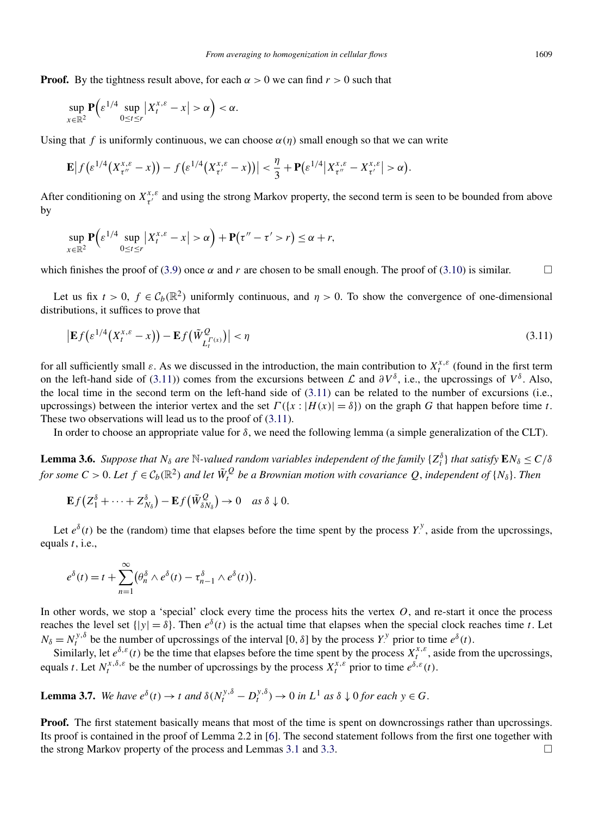<span id="page-17-0"></span>**Proof.** By the tightness result above, for each  $\alpha > 0$  we can find  $r > 0$  such that

$$
\sup_{x \in \mathbb{R}^2} \mathbf{P} \Big( \varepsilon^{1/4} \sup_{0 \le t \le r} \Big| X_t^{x,\varepsilon} - x \Big| > \alpha \Big) < \alpha.
$$

Using that *f* is uniformly continuous, we can choose  $\alpha(\eta)$  small enough so that we can write

$$
\mathbf{E}\big|f\big(\varepsilon^{1/4}\big(X_{\tau''}^{x,\varepsilon}-x\big)\big)-f\big(\varepsilon^{1/4}\big(X_{\tau'}^{x,\varepsilon}-x\big)\big)\big|<\frac{\eta}{3}+\mathbf{P}\big(\varepsilon^{1/4}\big|X_{\tau''}^{x,\varepsilon}-X_{\tau'}^{x,\varepsilon}\big|>\alpha\big).
$$

After conditioning on  $X^{x,\varepsilon}_{\tau'}$  and using the strong Markov property, the second term is seen to be bounded from above by

$$
\sup_{x\in\mathbb{R}^2} \mathbf{P}\Big(\varepsilon^{1/4} \sup_{0\leq t\leq r} \big|X_t^{x,\varepsilon}-x\big|>\alpha\Big) + \mathbf{P}\big(\tau''-\tau'>r\big)\leq \alpha+r,
$$

which finishes the proof of [\(3.9\)](#page-16-0) once  $\alpha$  and  $r$  are chosen to be small enough. The proof of [\(3.10\)](#page-16-0) is similar.  $\Box$ 

Let us fix  $t > 0$ ,  $f \in C_b(\mathbb{R}^2)$  uniformly continuous, and  $\eta > 0$ . To show the convergence of one-dimensional distributions, it suffices to prove that

$$
\left| \mathbf{E} f\left(\varepsilon^{1/4} \left(X_t^{x,\varepsilon} - x\right)\right) - \mathbf{E} f\left(\tilde{W}_{L_t^{(\varepsilon)}}^{\mathcal{Q}}\right) \right| < \eta \tag{3.11}
$$

for all sufficiently small  $\varepsilon$ . As we discussed in the introduction, the main contribution to  $X_t^{x,\varepsilon}$  (found in the first term on the left-hand side of (3.11)) comes from the excursions between  $\mathcal L$  and  $\partial V^{\delta}$ , i.e., the upcrossings of  $V^{\delta}$ . Also, the local time in the second term on the left-hand side of (3.11) can be related to the number of excursions (i.e., upcrossings) between the interior vertex and the set  $Γ({x : |H(x)| = δ})$  on the graph *G* that happen before time *t*. These two observations will lead us to the proof of (3.11).

In order to choose an appropriate value for  $\delta$ , we need the following lemma (a simple generalization of the CLT).

**Lemma 3.6.** *Suppose that*  $N_\delta$  *are*  $N$ -valued random variables independent of the family  $\{Z_i^\delta\}$  that satisfy  $EN_\delta \le C/\delta$ *for some*  $C > 0$ . Let  $f \in C_b(\mathbb{R}^2)$  and let  $\tilde{W}_t^Q$  be a Brownian motion with covariance  $Q$ , independent of  $\{N_\delta\}$ . Then

$$
\mathbf{E} f(Z_1^{\delta} + \cdots + Z_{N_{\delta}}^{\delta}) - \mathbf{E} f(\tilde{W}_{\delta N_{\delta}}^Q) \to 0 \quad \text{as } \delta \downarrow 0.
$$

Let  $e^{\delta}(t)$  be the (random) time that elapses before the time spent by the process  $Y^{\delta}$ , aside from the upcrossings, equals *t*, i.e.,

$$
e^{\delta}(t) = t + \sum_{n=1}^{\infty} (\theta_n^{\delta} \wedge e^{\delta}(t) - \tau_{n-1}^{\delta} \wedge e^{\delta}(t)).
$$

In other words, we stop a 'special' clock every time the process hits the vertex *O*, and re-start it once the process reaches the level set  $\{|y| = \delta\}$ . Then  $e^{\delta}(t)$  is the actual time that elapses when the special clock reaches time *t*. Let  $N_{\delta} = N_t^{y,\delta}$  be the number of upcrossings of the interval [0,  $\delta$ ] by the process *Y*<sup>*y*</sup> prior to time  $e^{\delta}(t)$ .

Similarly, let  $e^{\delta \phi}$  (*t*) be the time that elapses before the time spent by the process  $X_t^{x,\varepsilon}$ , aside from the upcrossings, equals *t*. Let  $N_t^{x, \delta, \varepsilon}$  be the number of upcrossings by the process  $X_t^{x, \varepsilon}$  prior to time  $e^{\delta, \varepsilon}(t)$ .

**Lemma 3.7.** We have 
$$
e^{\delta}(t) \to t
$$
 and  $\delta(N_t^{y,\delta} - D_t^{y,\delta}) \to 0$  in  $L^1$  as  $\delta \downarrow 0$  for each  $y \in G$ .

**Proof.** The first statement basically means that most of the time is spent on downcrossings rather than upcrossings. Its proof is contained in the proof of Lemma 2.2 in [\[6\]](#page-21-0). The second statement follows from the first one together with the strong Markov property of the process and Lemmas [3.1](#page-14-0) and [3.3.](#page-15-0)  $\Box$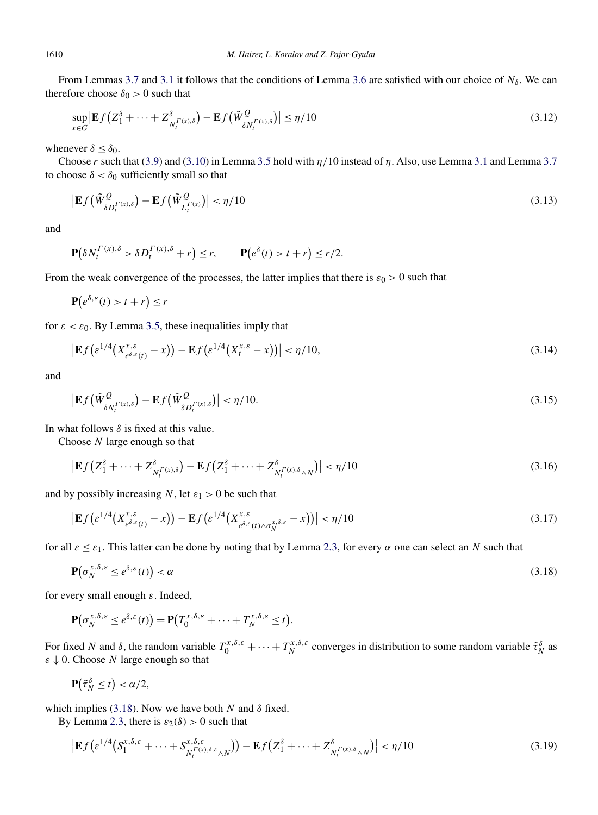From Lemmas [3.7](#page-17-0) and [3.1](#page-14-0) it follows that the conditions of Lemma [3.6](#page-17-0) are satisfied with our choice of  $N_\delta$ . We can therefore choose  $\delta_0 > 0$  such that

$$
\sup_{x \in G} \left| \mathbf{E} f \left( Z_1^{\delta} + \dots + Z_{N_t^{(\Gamma(x),\delta)}}^{\delta} \right) - \mathbf{E} f \left( \tilde{W}_{\delta N_t^{(\Gamma(x),\delta)}}^{\mathcal{Q}} \right) \right| \le \eta/10 \tag{3.12}
$$

whenever  $\delta \leq \delta_0$ .

Choose *r* such that [\(3.9\)](#page-16-0) and [\(3.10\)](#page-16-0) in Lemma [3.5](#page-16-0) hold with *η/*10 instead of *η*. Also, use Lemma [3.1](#page-14-0) and Lemma [3.7](#page-17-0) to choose  $\delta < \delta_0$  sufficiently small so that

$$
\left| \mathbf{E} f\left(\tilde{W}^Q_{\delta D_t^{\Gamma(x),\delta}}\right) - \mathbf{E} f\left(\tilde{W}^Q_{L_t^{\Gamma(x)}}\right) \right| < \eta/10 \tag{3.13}
$$

and

$$
\mathbf{P}\big(\delta N_t^{\Gamma(x),\delta} > \delta D_t^{\Gamma(x),\delta} + r\big) \le r, \qquad \mathbf{P}\big(e^{\delta}(t) > t + r\big) \le r/2.
$$

From the weak convergence of the processes, the latter implies that there is  $\varepsilon_0 > 0$  such that

$$
\mathbf{P}(e^{\delta,\varepsilon}(t) > t + r) \leq r
$$

for  $\varepsilon < \varepsilon_0$ . By Lemma [3.5,](#page-16-0) these inequalities imply that

$$
\left| \mathbf{E} f\left(\varepsilon^{1/4} \left(X_{e^{\delta,\varepsilon}(t)}^{x,\varepsilon} - x\right)\right) - \mathbf{E} f\left(\varepsilon^{1/4} \left(X_t^{x,\varepsilon} - x\right)\right) \right| < \eta/10,\tag{3.14}
$$

and

$$
\left| \mathbf{E} f\left(\tilde{W}^Q_{\delta N_t^{\Gamma(x),\delta}}\right) - \mathbf{E} f\left(\tilde{W}^Q_{\delta D_t^{\Gamma(x),\delta}}\right) \right| < \eta/10. \tag{3.15}
$$

In what follows  $\delta$  is fixed at this value.

Choose *N* large enough so that

$$
\left| \mathbf{E} f \left( Z_1^{\delta} + \dots + Z_{N_t^{(\Gamma(x),\delta)}}^{\delta} \right) - \mathbf{E} f \left( Z_1^{\delta} + \dots + Z_{N_t^{(\Gamma(x),\delta} \wedge N)}^{\delta} \right) \right| < \eta/10 \tag{3.16}
$$

and by possibly increasing *N*, let  $\varepsilon_1 > 0$  be such that

$$
\left| \mathbf{E} f\left(\varepsilon^{1/4} \left(X_{e^{\delta,\varepsilon}(t)}^{x,\varepsilon} - x\right)\right) - \mathbf{E} f\left(\varepsilon^{1/4} \left(X_{e^{\delta,\varepsilon}(t)\wedge\sigma_N^{x,\delta,\varepsilon}}^{x,\varepsilon} - x\right)\right) \right| < \eta/10 \tag{3.17}
$$

for all  $\varepsilon \leq \varepsilon_1$ . This latter can be done by noting that by Lemma [2.3,](#page-6-0) for every  $\alpha$  one can select an *N* such that

$$
\mathbf{P}\big(\sigma_N^{x,\delta,\varepsilon} \le e^{\delta,\varepsilon}(t)\big) < \alpha \tag{3.18}
$$

for every small enough *ε*. Indeed,

$$
\mathbf{P}(\sigma_N^{x,\delta,\varepsilon}\leq e^{\delta,\varepsilon}(t))=\mathbf{P}(T_0^{x,\delta,\varepsilon}+\cdots+T_N^{x,\delta,\varepsilon}\leq t).
$$

For fixed *N* and  $\delta$ , the random variable  $T_0^{x,\delta,\epsilon} + \cdots + T_N^{x,\delta,\epsilon}$  converges in distribution to some random variable  $\tilde{\tau}_N^{\delta}$  as *ε* ↓ 0. Choose *N* large enough so that

$$
\mathbf{P}(\tilde{\tau}_N^{\delta} \leq t) < \alpha/2,
$$

which implies (3.18). Now we have both  $N$  and  $\delta$  fixed.

By Lemma [2.3,](#page-6-0) there is  $\varepsilon_2(\delta) > 0$  such that

$$
\left| \mathbf{E} f \left( \varepsilon^{1/4} \left( S_1^{x, \delta, \varepsilon} + \dots + S_{N_t^{T(x), \delta, \varepsilon} \wedge N}^{x, \delta, \varepsilon} \right) \right) - \mathbf{E} f \left( Z_1^{\delta} + \dots + Z_{N_t^{T(x), \delta} \wedge N}^{\delta} \right) \right| < \eta/10 \tag{3.19}
$$

<span id="page-18-0"></span>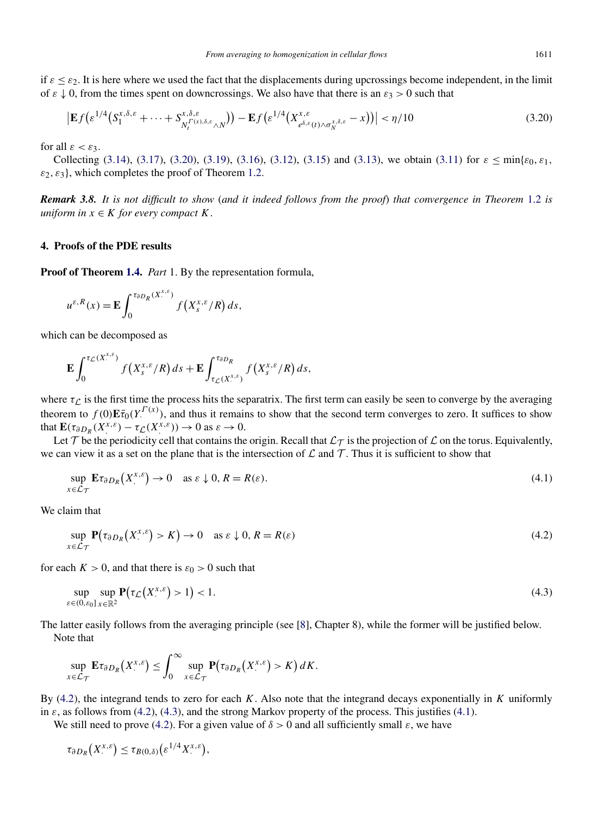<span id="page-19-0"></span>if  $\varepsilon \leq \varepsilon_2$ . It is here where we used the fact that the displacements during upcrossings become independent, in the limit of  $\varepsilon \downarrow 0$ , from the times spent on downcrossings. We also have that there is an  $\varepsilon_3 > 0$  such that

$$
\left| \mathbf{E} f\left(\varepsilon^{1/4} \left( S_1^{x,\delta,\varepsilon} + \dots + S_{N_t^{T(x),\delta,\varepsilon} \wedge N}^{x,\delta,\varepsilon} \right) \right) - \mathbf{E} f\left(\varepsilon^{1/4} \left( X_{e^{\delta,\varepsilon}(t) \wedge \sigma_N^{x,\delta,\varepsilon}}^{x,\delta,\varepsilon} - x \right) \right) \right| < \eta/10 \tag{3.20}
$$

for all  $\varepsilon < \varepsilon_3$ .

Collecting [\(3.14\)](#page-18-0), [\(3.17\)](#page-18-0), (3.20), [\(3.19\)](#page-18-0), [\(3.16\)](#page-18-0), [\(3.12\)](#page-18-0), [\(3.15\)](#page-18-0) and [\(3.13\)](#page-18-0), we obtain [\(3.11\)](#page-17-0) for  $\varepsilon \le \min\{\varepsilon_0, \varepsilon_1,$  $\varepsilon_2$ ,  $\varepsilon_3$ , which completes the proof of Theorem [1.2.](#page-3-0)

*Remark 3.8. It is not difficult to show* (*and it indeed follows from the proof*) *that convergence in Theorem* [1.2](#page-3-0) *is uniform in*  $x \in K$  *for every compact*  $K$ .

# **4. Proofs of the PDE results**

**Proof of Theorem [1.4.](#page-4-0)** *Part* 1. By the representation formula,

$$
u^{\varepsilon,R}(x) = \mathbf{E} \int_0^{\tau_{\partial D_R}(X^{x,\varepsilon})} f(X^{x,\varepsilon}_s/R) ds,
$$

which can be decomposed as

$$
\mathbf{E}\int_0^{\tau_{\mathcal{L}}(X^{x,\varepsilon}_s)}f(X^{x,\varepsilon}_s/R)\,ds+\mathbf{E}\int_{\tau_{\mathcal{L}}(X^{x,\varepsilon}_s)}^{\tau_{\partial D_R}}f(X^{x,\varepsilon}_s/R)\,ds,
$$

where  $\tau_{\mathcal{L}}$  is the first time the process hits the separatrix. The first term can easily be seen to converge by the averaging theorem to  $f(0)\mathbf{E}\bar{\tau}_0(Y^{(\mathcal{X})})$ , and thus it remains to show that the second term converges to zero. It suffices to show that  $\mathbf{E}(\tau_{\partial D_R}(X^{x,\varepsilon}) - \tau_L(X^{x,\varepsilon})) \to 0$  as  $\varepsilon \to 0$ .

Let T be the periodicity cell that contains the origin. Recall that  $\mathcal{L}_{\mathcal{T}}$  is the projection of  $\mathcal L$  on the torus. Equivalently, we can view it as a set on the plane that is the intersection of  $\mathcal L$  and  $\mathcal T$ . Thus it is sufficient to show that

$$
\sup_{x \in \mathcal{L}_{\mathcal{T}}} \mathbf{E} \tau_{\partial D_R} \big( X^{x,\varepsilon} \big) \to 0 \quad \text{as } \varepsilon \downarrow 0, R = R(\varepsilon). \tag{4.1}
$$

We claim that

$$
\sup_{x \in \mathcal{L}_{\mathcal{T}}} \mathbf{P}(\tau_{\partial D_R}(X^{x,\varepsilon}) > K) \to 0 \quad \text{as } \varepsilon \downarrow 0, R = R(\varepsilon) \tag{4.2}
$$

for each  $K > 0$ , and that there is  $\varepsilon_0 > 0$  such that

$$
\sup_{\varepsilon \in (0,\varepsilon_0]} \sup_{x \in \mathbb{R}^2} \mathbf{P}(\tau_{\mathcal{L}}(X^{x,\varepsilon}) > 1) < 1. \tag{4.3}
$$

The latter easily follows from the averaging principle (see [\[8\]](#page-21-0), Chapter 8), while the former will be justified below. Note that

$$
\sup_{x \in \mathcal{L}_{\mathcal{T}}} \mathbf{E} \tau_{\partial D_R}(X^{x,\varepsilon}) \leq \int_0^\infty \sup_{x \in \mathcal{L}_{\mathcal{T}}} \mathbf{P}(\tau_{\partial D_R}(X^{x,\varepsilon}) > K) dK.
$$

By (4.2), the integrand tends to zero for each *K*. Also note that the integrand decays exponentially in *K* uniformly in  $\varepsilon$ , as follows from (4.2), (4.3), and the strong Markov property of the process. This justifies (4.1).

We still need to prove (4.2). For a given value of  $\delta > 0$  and all sufficiently small  $\varepsilon$ , we have

$$
\tau_{\partial D_R}\big(X^{x,\varepsilon}\big) \leq \tau_{B(0,\delta)}\big(\varepsilon^{1/4}X^{x,\varepsilon}\big),
$$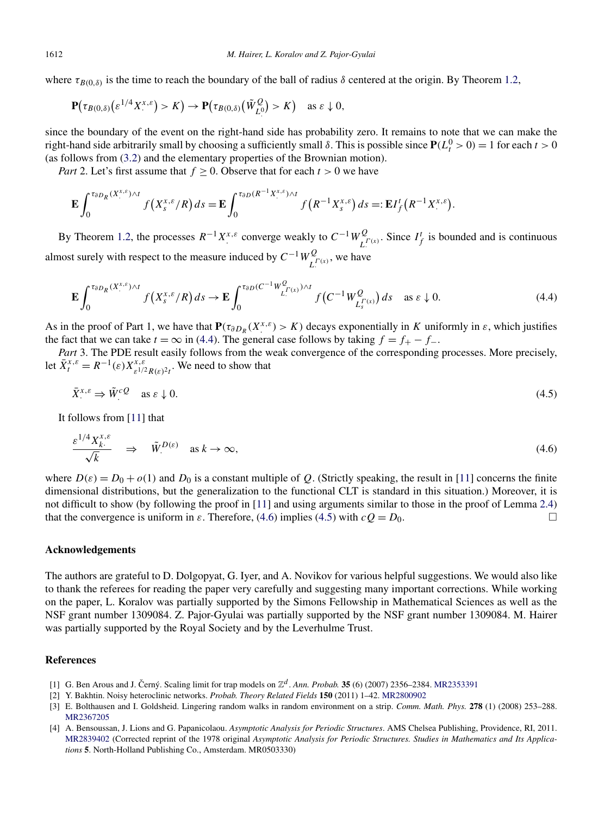<span id="page-20-0"></span>where  $\tau_{B(0,\delta)}$  is the time to reach the boundary of the ball of radius  $\delta$  centered at the origin. By Theorem [1.2,](#page-3-0)

$$
\mathbf{P}(\tau_{B(0,\delta)}(\varepsilon^{1/4}X^{x,\varepsilon})>K)\to\mathbf{P}(\tau_{B(0,\delta)}(\tilde{W}_{L^0}^Q)>K)\quad\text{as }\varepsilon\downarrow0,
$$

since the boundary of the event on the right-hand side has probability zero. It remains to note that we can make the right-hand side arbitrarily small by choosing a sufficiently small  $\delta$ . This is possible since  $P(L_t^0 > 0) = 1$  for each  $t > 0$ (as follows from [\(3.2\)](#page-15-0) and the elementary properties of the Brownian motion).

*Part* 2. Let's first assume that  $f \geq 0$ . Observe that for each  $t > 0$  we have

$$
\mathbf{E}\int_0^{\tau_{\partial D_R}(X^{x,\varepsilon}_\cdot)\wedge t} f\big(X^{x,\varepsilon}_s/R\big) ds = \mathbf{E}\int_0^{\tau_{\partial D}(R^{-1}X^{x,\varepsilon}_\cdot)\wedge t} f\big(R^{-1}X^{x,\varepsilon}_s\big) ds =: \mathbf{E}I_f^t\big(R^{-1}X^{x,\varepsilon}_\cdot\big).
$$

By Theorem [1.2,](#page-3-0) the processes  $R^{-1}X^{x,\varepsilon}$  converge weakly to  $C^{-1}W^Q_{L^{(\varepsilon)}}$ . Since  $I^t_f$  is bounded and is continuous almost surely with respect to the measure induced by  $C^{-1}W_{L}^Q(x)$ , we have

$$
\mathbf{E} \int_0^{\tau_{\partial D_R}(X^{x,\varepsilon}_{\cdot}) \wedge t} f\left(X^{x,\varepsilon}_{s}/R\right) ds \to \mathbf{E} \int_0^{\tau_{\partial D}(C^{-1}W^Q_{L^{(\varepsilon)}_{\cdot})} \wedge t} f\left(C^{-1}W^Q_{L^{(\varepsilon)}_{s}}\right) ds \quad \text{as } \varepsilon \downarrow 0. \tag{4.4}
$$

As in the proof of Part 1, we have that  $P(\tau_{\partial D_R}(X^{x,\varepsilon}) > K)$  decays exponentially in *K* uniformly in  $\varepsilon$ , which justifies the fact that we can take  $t = \infty$  in (4.4). The general case follows by taking  $f = f_{+} - f_{-}$ .

*Part* 3. The PDE result easily follows from the weak convergence of the corresponding processes. More precisely, let  $\bar{X}^{x,\varepsilon}_t = R^{-1}(\varepsilon) X^{x,\varepsilon}_{\varepsilon^{1/2} R(\varepsilon)^2 t}$ . We need to show that

$$
\bar{X}^{x,\varepsilon} \Rightarrow \tilde{W}^{cQ} \quad \text{as } \varepsilon \downarrow 0. \tag{4.5}
$$

It follows from [\[11\]](#page-21-0) that

$$
\frac{\varepsilon^{1/4} X_k^{x,\varepsilon}}{\sqrt{k}} \quad \Rightarrow \quad \tilde{W}^{D(\varepsilon)} \quad \text{as } k \to \infty,
$$
\n
$$
(4.6)
$$

where  $D(\varepsilon) = D_0 + o(1)$  and  $D_0$  is a constant multiple of *Q*. (Strictly speaking, the result in [\[11\]](#page-21-0) concerns the finite dimensional distributions, but the generalization to the functional CLT is standard in this situation.) Moreover, it is not difficult to show (by following the proof in [\[11\]](#page-21-0) and using arguments similar to those in the proof of Lemma [2.4\)](#page-7-0) that the convergence is uniform in  $\varepsilon$ . Therefore, (4.6) implies (4.5) with  $cQ = D_0$ .  $\Box$ 

# **Acknowledgements**

The authors are grateful to D. Dolgopyat, G. Iyer, and A. Novikov for various helpful suggestions. We would also like to thank the referees for reading the paper very carefully and suggesting many important corrections. While working on the paper, L. Koralov was partially supported by the Simons Fellowship in Mathematical Sciences as well as the NSF grant number 1309084. Z. Pajor-Gyulai was partially supported by the NSF grant number 1309084. M. Hairer was partially supported by the Royal Society and by the Leverhulme Trust.

# **References**

- [1] G. Ben Arous and J. Černý. Scaling limit for trap models on  $\mathbb{Z}^d$ . *Ann. Probab.* **35** (6) (2007) 2356–2384. [MR2353391](http://www.ams.org/mathscinet-getitem?mr=2353391)
- [2] Y. Bakhtin. Noisy heteroclinic networks. *Probab. Theory Related Fields* **150** (2011) 1–42. [MR2800902](http://www.ams.org/mathscinet-getitem?mr=2800902)
- [3] E. Bolthausen and I. Goldsheid. Lingering random walks in random environment on a strip. *Comm. Math. Phys.* **278** (1) (2008) 253–288. [MR2367205](http://www.ams.org/mathscinet-getitem?mr=2367205)
- [4] A. Bensoussan, J. Lions and G. Papanicolaou. *Asymptotic Analysis for Periodic Structures*. AMS Chelsea Publishing, Providence, RI, 2011. [MR2839402](http://www.ams.org/mathscinet-getitem?mr=2839402) (Corrected reprint of the 1978 original *Asymptotic Analysis for Periodic Structures. Studies in Mathematics and Its Applications* **5**. North-Holland Publishing Co., Amsterdam. MR0503330)